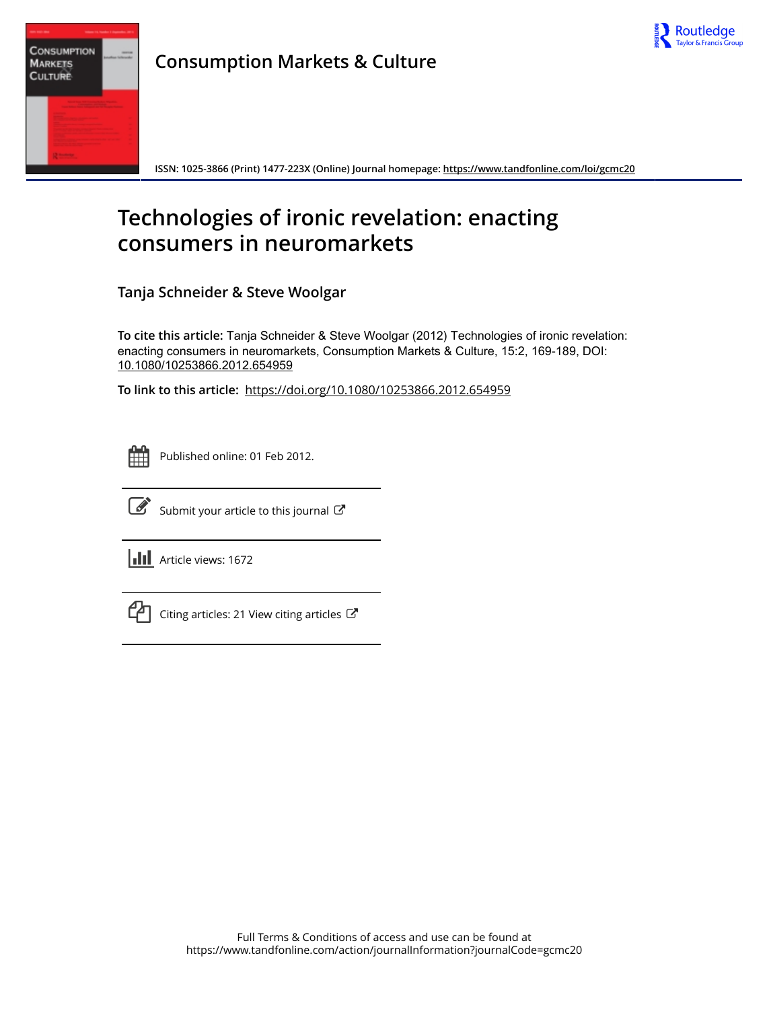

| <b>CULTURE</b> | <b>CONSUMPTION</b><br><b>MARKETS</b> |  |
|----------------|--------------------------------------|--|
|                | --                                   |  |

**Consumption Markets & Culture**

**ISSN: 1025-3866 (Print) 1477-223X (Online) Journal homepage: <https://www.tandfonline.com/loi/gcmc20>**

# **Technologies of ironic revelation: enacting consumers in neuromarkets**

**Tanja Schneider & Steve Woolgar**

**To cite this article:** Tanja Schneider & Steve Woolgar (2012) Technologies of ironic revelation: enacting consumers in neuromarkets, Consumption Markets & Culture, 15:2, 169-189, DOI: [10.1080/10253866.2012.654959](https://www.tandfonline.com/action/showCitFormats?doi=10.1080/10253866.2012.654959)

**To link to this article:** <https://doi.org/10.1080/10253866.2012.654959>

|  | -- | - |  |
|--|----|---|--|
|  |    |   |  |
|  |    |   |  |
|  |    |   |  |

Published online: 01 Feb 2012.



 $\overrightarrow{S}$  [Submit your article to this journal](https://www.tandfonline.com/action/authorSubmission?journalCode=gcmc20&show=instructions)  $\overrightarrow{S}$ 

**III** Article views: 1672



 $\mathbb{C}$  [Citing articles: 21 View citing articles](https://www.tandfonline.com/doi/citedby/10.1080/10253866.2012.654959#tabModule)  $\mathbb{C}$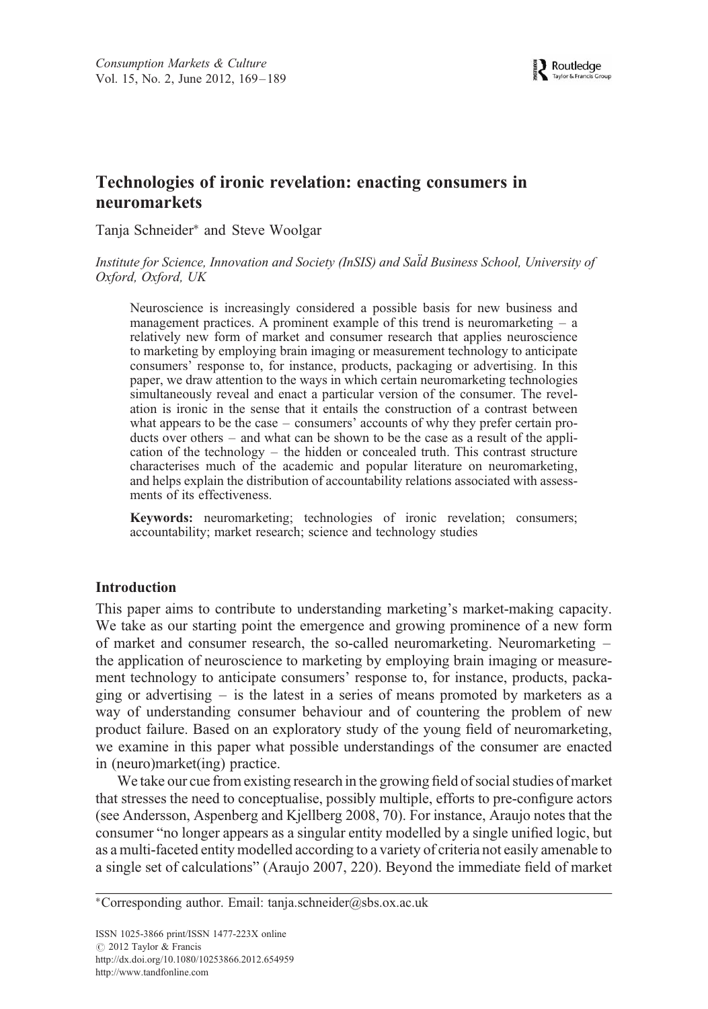# Technologies of ironic revelation: enacting consumers in neuromarkets

Tanja Schneider<sup>∗</sup> and Steve Woolgar

Institute for Science, Innovation and Society (InSIS) and Sald Business School, University of Oxford, Oxford, UK

Neuroscience is increasingly considered a possible basis for new business and management practices. A prominent example of this trend is neuromarketing  $-$  a relatively new form of market and consumer research that applies neuroscience to marketing by employing brain imaging or measurement technology to anticipate consumers' response to, for instance, products, packaging or advertising. In this paper, we draw attention to the ways in which certain neuromarketing technologies simultaneously reveal and enact a particular version of the consumer. The revelation is ironic in the sense that it entails the construction of a contrast between what appears to be the case – consumers' accounts of why they prefer certain products over others – and what can be shown to be the case as a result of the application of the technology – the hidden or concealed truth. This contrast structure characterises much of the academic and popular literature on neuromarketing, and helps explain the distribution of accountability relations associated with assessments of its effectiveness.

Keywords: neuromarketing; technologies of ironic revelation; consumers; accountability; market research; science and technology studies

## Introduction

This paper aims to contribute to understanding marketing's market-making capacity. We take as our starting point the emergence and growing prominence of a new form of market and consumer research, the so-called neuromarketing. Neuromarketing – the application of neuroscience to marketing by employing brain imaging or measurement technology to anticipate consumers' response to, for instance, products, packaging or advertising  $-$  is the latest in a series of means promoted by marketers as a way of understanding consumer behaviour and of countering the problem of new product failure. Based on an exploratory study of the young field of neuromarketing, we examine in this paper what possible understandings of the consumer are enacted in (neuro)market(ing) practice.

We take our cue from existing research in the growing field of social studies of market that stresses the need to conceptualise, possibly multiple, efforts to pre-configure actors (see Andersson, Aspenberg and Kjellberg 2008, 70). For instance, Araujo notes that the consumer "no longer appears as a singular entity modelled by a single unified logic, but as a multi-faceted entity modelled according to a variety of criteria not easily amenable to a single set of calculations" (Araujo 2007, 220). Beyond the immediate field of market

<sup>∗</sup>Corresponding author. Email: tanja.schneider@sbs.ox.ac.uk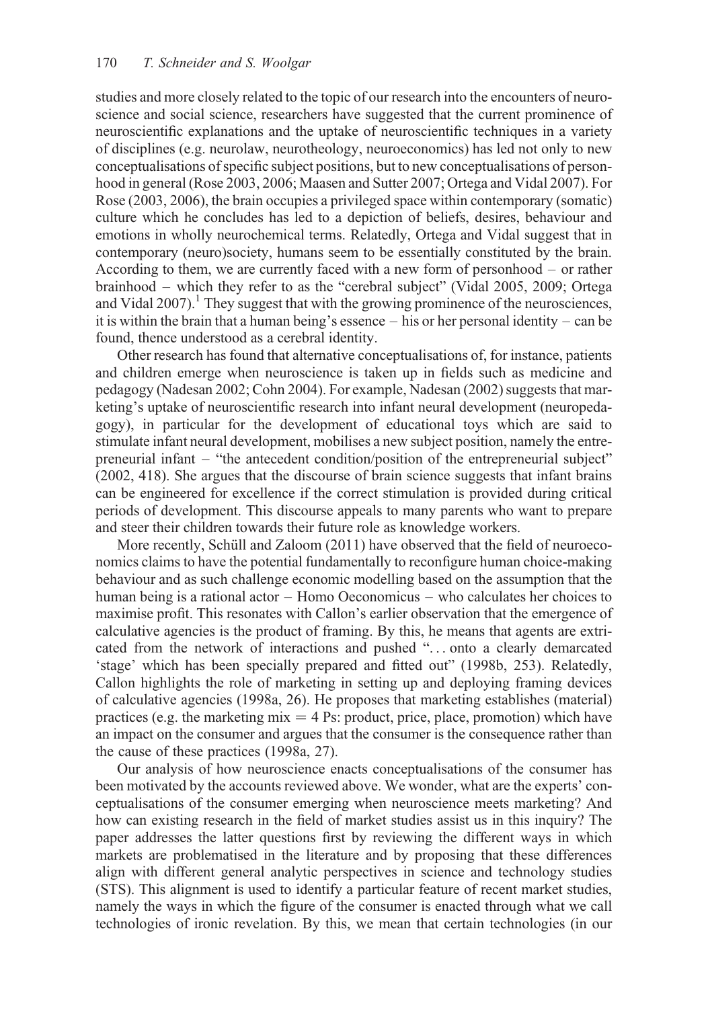studies and more closely related to the topic of our research into the encounters of neuroscience and social science, researchers have suggested that the current prominence of neuroscientific explanations and the uptake of neuroscientific techniques in a variety of disciplines (e.g. neurolaw, neurotheology, neuroeconomics) has led not only to new conceptualisations of specific subject positions, but to new conceptualisations of personhood in general (Rose 2003, 2006; Maasen and Sutter 2007; Ortega and Vidal 2007). For Rose (2003, 2006), the brain occupies a privileged space within contemporary (somatic) culture which he concludes has led to a depiction of beliefs, desires, behaviour and emotions in wholly neurochemical terms. Relatedly, Ortega and Vidal suggest that in contemporary (neuro)society, humans seem to be essentially constituted by the brain. According to them, we are currently faced with a new form of personhood – or rather brainhood – which they refer to as the "cerebral subject" (Vidal 2005, 2009; Ortega and Vidal 2007).<sup>1</sup> They suggest that with the growing prominence of the neurosciences, it is within the brain that a human being's essence  $-$  his or her personal identity  $-$  can be found, thence understood as a cerebral identity.

Other research has found that alternative conceptualisations of, for instance, patients and children emerge when neuroscience is taken up in fields such as medicine and pedagogy (Nadesan 2002; Cohn 2004). For example, Nadesan (2002) suggests that marketing's uptake of neuroscientific research into infant neural development (neuropedagogy), in particular for the development of educational toys which are said to stimulate infant neural development, mobilises a new subject position, namely the entrepreneurial infant – "the antecedent condition/position of the entrepreneurial subject" (2002, 418). She argues that the discourse of brain science suggests that infant brains can be engineered for excellence if the correct stimulation is provided during critical periods of development. This discourse appeals to many parents who want to prepare and steer their children towards their future role as knowledge workers.

More recently, Schüll and Zaloom  $(2011)$  have observed that the field of neuroeconomics claims to have the potential fundamentally to reconfigure human choice-making behaviour and as such challenge economic modelling based on the assumption that the human being is a rational actor – Homo Oeconomicus – who calculates her choices to maximise profit. This resonates with Callon's earlier observation that the emergence of calculative agencies is the product of framing. By this, he means that agents are extricated from the network of interactions and pushed "... onto a clearly demarcated 'stage' which has been specially prepared and fitted out" (1998b, 253). Relatedly, Callon highlights the role of marketing in setting up and deploying framing devices of calculative agencies (1998a, 26). He proposes that marketing establishes (material) practices (e.g. the marketing  $mix = 4$  Ps: product, price, place, promotion) which have an impact on the consumer and argues that the consumer is the consequence rather than the cause of these practices (1998a, 27).

Our analysis of how neuroscience enacts conceptualisations of the consumer has been motivated by the accounts reviewed above. We wonder, what are the experts' conceptualisations of the consumer emerging when neuroscience meets marketing? And how can existing research in the field of market studies assist us in this inquiry? The paper addresses the latter questions first by reviewing the different ways in which markets are problematised in the literature and by proposing that these differences align with different general analytic perspectives in science and technology studies (STS). This alignment is used to identify a particular feature of recent market studies, namely the ways in which the figure of the consumer is enacted through what we call technologies of ironic revelation. By this, we mean that certain technologies (in our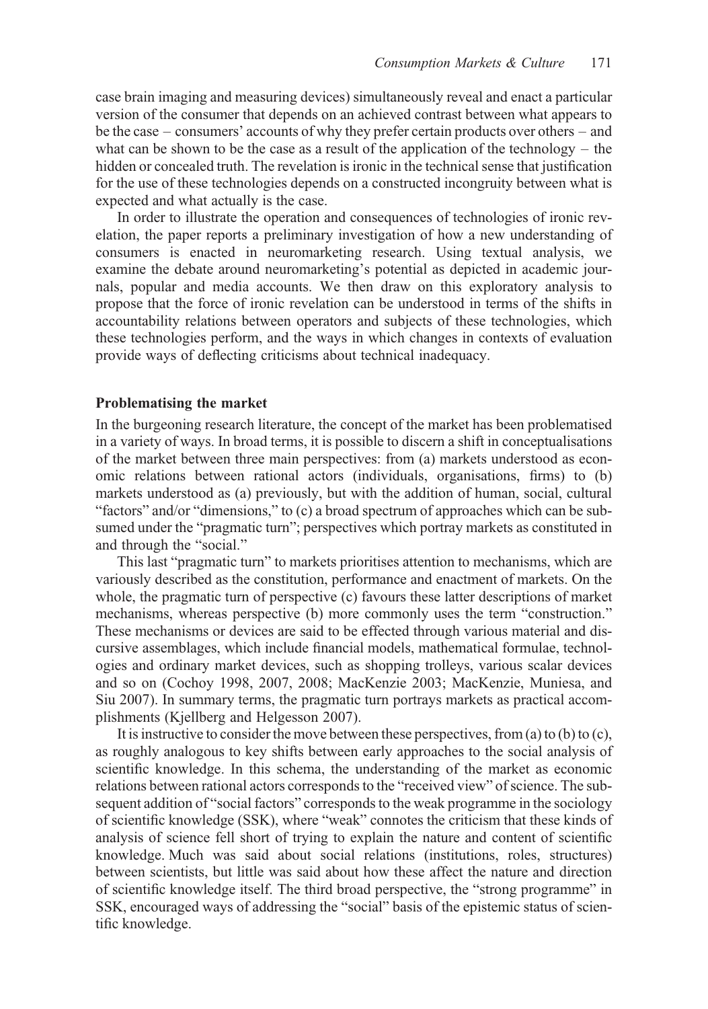case brain imaging and measuring devices) simultaneously reveal and enact a particular version of the consumer that depends on an achieved contrast between what appears to be the case – consumers' accounts of why they prefer certain products over others – and what can be shown to be the case as a result of the application of the technology – the hidden or concealed truth. The revelation is ironic in the technical sense that justification for the use of these technologies depends on a constructed incongruity between what is expected and what actually is the case.

In order to illustrate the operation and consequences of technologies of ironic revelation, the paper reports a preliminary investigation of how a new understanding of consumers is enacted in neuromarketing research. Using textual analysis, we examine the debate around neuromarketing's potential as depicted in academic journals, popular and media accounts. We then draw on this exploratory analysis to propose that the force of ironic revelation can be understood in terms of the shifts in accountability relations between operators and subjects of these technologies, which these technologies perform, and the ways in which changes in contexts of evaluation provide ways of deflecting criticisms about technical inadequacy.

#### Problematising the market

In the burgeoning research literature, the concept of the market has been problematised in a variety of ways. In broad terms, it is possible to discern a shift in conceptualisations of the market between three main perspectives: from (a) markets understood as economic relations between rational actors (individuals, organisations, firms) to (b) markets understood as (a) previously, but with the addition of human, social, cultural "factors" and/or "dimensions," to (c) a broad spectrum of approaches which can be subsumed under the "pragmatic turn"; perspectives which portray markets as constituted in and through the "social."

This last "pragmatic turn" to markets prioritises attention to mechanisms, which are variously described as the constitution, performance and enactment of markets. On the whole, the pragmatic turn of perspective (c) favours these latter descriptions of market mechanisms, whereas perspective (b) more commonly uses the term "construction." These mechanisms or devices are said to be effected through various material and discursive assemblages, which include financial models, mathematical formulae, technologies and ordinary market devices, such as shopping trolleys, various scalar devices and so on (Cochoy 1998, 2007, 2008; MacKenzie 2003; MacKenzie, Muniesa, and Siu 2007). In summary terms, the pragmatic turn portrays markets as practical accomplishments (Kjellberg and Helgesson 2007).

It is instructive to consider the move between these perspectives, from (a) to (b) to (c), as roughly analogous to key shifts between early approaches to the social analysis of scientific knowledge. In this schema, the understanding of the market as economic relations between rational actors corresponds to the "received view" of science. The subsequent addition of "social factors" corresponds to the weak programme in the sociology of scientific knowledge (SSK), where "weak" connotes the criticism that these kinds of analysis of science fell short of trying to explain the nature and content of scientific knowledge. Much was said about social relations (institutions, roles, structures) between scientists, but little was said about how these affect the nature and direction of scientific knowledge itself. The third broad perspective, the "strong programme" in SSK, encouraged ways of addressing the "social" basis of the epistemic status of scientific knowledge.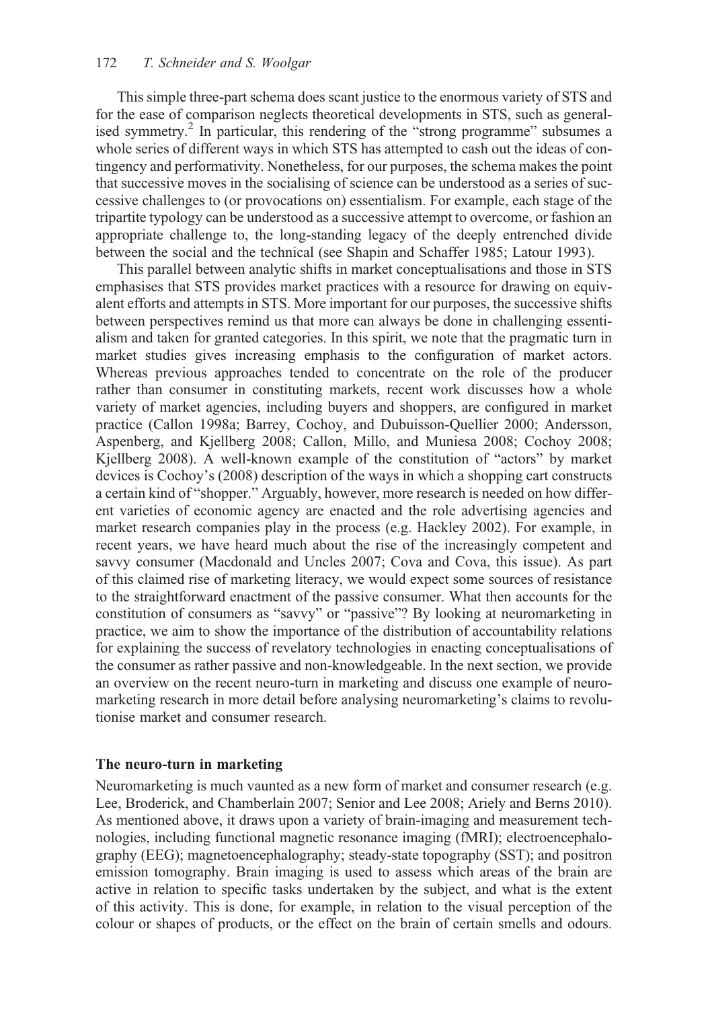This simple three-part schema does scant justice to the enormous variety of STS and for the ease of comparison neglects theoretical developments in STS, such as generalised symmetry.<sup>2</sup> In particular, this rendering of the "strong programme" subsumes a whole series of different ways in which STS has attempted to cash out the ideas of contingency and performativity. Nonetheless, for our purposes, the schema makes the point that successive moves in the socialising of science can be understood as a series of successive challenges to (or provocations on) essentialism. For example, each stage of the tripartite typology can be understood as a successive attempt to overcome, or fashion an appropriate challenge to, the long-standing legacy of the deeply entrenched divide between the social and the technical (see Shapin and Schaffer 1985; Latour 1993).

This parallel between analytic shifts in market conceptualisations and those in STS emphasises that STS provides market practices with a resource for drawing on equivalent efforts and attempts in STS. More important for our purposes, the successive shifts between perspectives remind us that more can always be done in challenging essentialism and taken for granted categories. In this spirit, we note that the pragmatic turn in market studies gives increasing emphasis to the configuration of market actors. Whereas previous approaches tended to concentrate on the role of the producer rather than consumer in constituting markets, recent work discusses how a whole variety of market agencies, including buyers and shoppers, are configured in market practice (Callon 1998a; Barrey, Cochoy, and Dubuisson-Quellier 2000; Andersson, Aspenberg, and Kjellberg 2008; Callon, Millo, and Muniesa 2008; Cochoy 2008; Kjellberg 2008). A well-known example of the constitution of "actors" by market devices is Cochoy's (2008) description of the ways in which a shopping cart constructs a certain kind of "shopper." Arguably, however, more research is needed on how different varieties of economic agency are enacted and the role advertising agencies and market research companies play in the process (e.g. Hackley 2002). For example, in recent years, we have heard much about the rise of the increasingly competent and savvy consumer (Macdonald and Uncles 2007; Cova and Cova, this issue). As part of this claimed rise of marketing literacy, we would expect some sources of resistance to the straightforward enactment of the passive consumer. What then accounts for the constitution of consumers as "savvy" or "passive"? By looking at neuromarketing in practice, we aim to show the importance of the distribution of accountability relations for explaining the success of revelatory technologies in enacting conceptualisations of the consumer as rather passive and non-knowledgeable. In the next section, we provide an overview on the recent neuro-turn in marketing and discuss one example of neuromarketing research in more detail before analysing neuromarketing's claims to revolutionise market and consumer research.

## The neuro-turn in marketing

Neuromarketing is much vaunted as a new form of market and consumer research (e.g. Lee, Broderick, and Chamberlain 2007; Senior and Lee 2008; Ariely and Berns 2010). As mentioned above, it draws upon a variety of brain-imaging and measurement technologies, including functional magnetic resonance imaging (fMRI); electroencephalography (EEG); magnetoencephalography; steady-state topography (SST); and positron emission tomography. Brain imaging is used to assess which areas of the brain are active in relation to specific tasks undertaken by the subject, and what is the extent of this activity. This is done, for example, in relation to the visual perception of the colour or shapes of products, or the effect on the brain of certain smells and odours.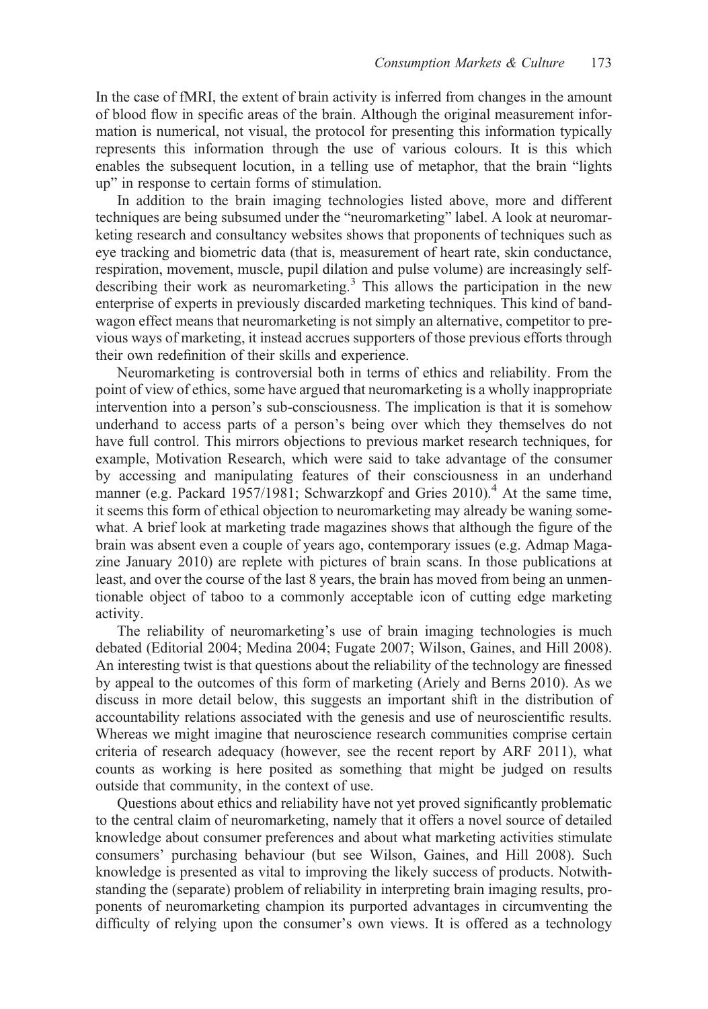In the case of fMRI, the extent of brain activity is inferred from changes in the amount of blood flow in specific areas of the brain. Although the original measurement information is numerical, not visual, the protocol for presenting this information typically represents this information through the use of various colours. It is this which enables the subsequent locution, in a telling use of metaphor, that the brain "lights up" in response to certain forms of stimulation.

In addition to the brain imaging technologies listed above, more and different techniques are being subsumed under the "neuromarketing" label. A look at neuromarketing research and consultancy websites shows that proponents of techniques such as eye tracking and biometric data (that is, measurement of heart rate, skin conductance, respiration, movement, muscle, pupil dilation and pulse volume) are increasingly selfdescribing their work as neuromarketing.<sup>3</sup> This allows the participation in the new enterprise of experts in previously discarded marketing techniques. This kind of bandwagon effect means that neuromarketing is not simply an alternative, competitor to previous ways of marketing, it instead accrues supporters of those previous efforts through their own redefinition of their skills and experience.

Neuromarketing is controversial both in terms of ethics and reliability. From the point of view of ethics, some have argued that neuromarketing is a wholly inappropriate intervention into a person's sub-consciousness. The implication is that it is somehow underhand to access parts of a person's being over which they themselves do not have full control. This mirrors objections to previous market research techniques, for example, Motivation Research, which were said to take advantage of the consumer by accessing and manipulating features of their consciousness in an underhand manner (e.g. Packard 1957/1981; Schwarzkopf and Gries 2010).<sup>4</sup> At the same time, it seems this form of ethical objection to neuromarketing may already be waning somewhat. A brief look at marketing trade magazines shows that although the figure of the brain was absent even a couple of years ago, contemporary issues (e.g. Admap Magazine January 2010) are replete with pictures of brain scans. In those publications at least, and over the course of the last 8 years, the brain has moved from being an unmentionable object of taboo to a commonly acceptable icon of cutting edge marketing activity.

The reliability of neuromarketing's use of brain imaging technologies is much debated (Editorial 2004; Medina 2004; Fugate 2007; Wilson, Gaines, and Hill 2008). An interesting twist is that questions about the reliability of the technology are finessed by appeal to the outcomes of this form of marketing (Ariely and Berns 2010). As we discuss in more detail below, this suggests an important shift in the distribution of accountability relations associated with the genesis and use of neuroscientific results. Whereas we might imagine that neuroscience research communities comprise certain criteria of research adequacy (however, see the recent report by ARF 2011), what counts as working is here posited as something that might be judged on results outside that community, in the context of use.

Questions about ethics and reliability have not yet proved significantly problematic to the central claim of neuromarketing, namely that it offers a novel source of detailed knowledge about consumer preferences and about what marketing activities stimulate consumers' purchasing behaviour (but see Wilson, Gaines, and Hill 2008). Such knowledge is presented as vital to improving the likely success of products. Notwithstanding the (separate) problem of reliability in interpreting brain imaging results, proponents of neuromarketing champion its purported advantages in circumventing the difficulty of relying upon the consumer's own views. It is offered as a technology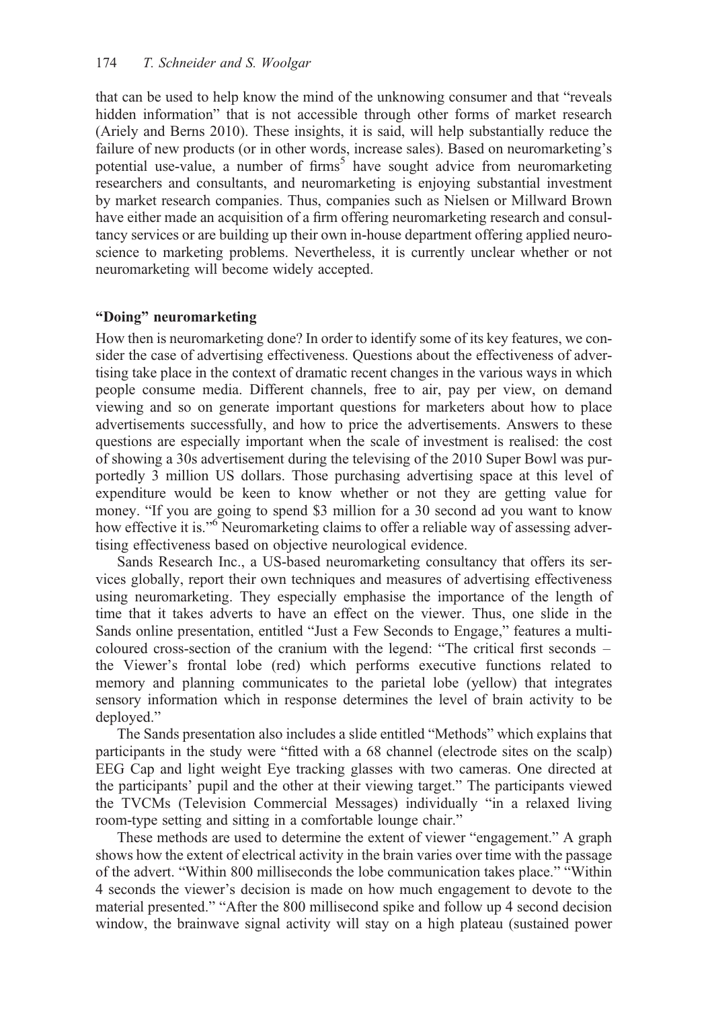that can be used to help know the mind of the unknowing consumer and that "reveals hidden information" that is not accessible through other forms of market research (Ariely and Berns 2010). These insights, it is said, will help substantially reduce the failure of new products (or in other words, increase sales). Based on neuromarketing's potential use-value, a number of firms<sup>5</sup> have sought advice from neuromarketing researchers and consultants, and neuromarketing is enjoying substantial investment by market research companies. Thus, companies such as Nielsen or Millward Brown have either made an acquisition of a firm offering neuromarketing research and consultancy services or are building up their own in-house department offering applied neuroscience to marketing problems. Nevertheless, it is currently unclear whether or not neuromarketing will become widely accepted.

## "Doing" neuromarketing

How then is neuromarketing done? In order to identify some of its key features, we consider the case of advertising effectiveness. Questions about the effectiveness of advertising take place in the context of dramatic recent changes in the various ways in which people consume media. Different channels, free to air, pay per view, on demand viewing and so on generate important questions for marketers about how to place advertisements successfully, and how to price the advertisements. Answers to these questions are especially important when the scale of investment is realised: the cost of showing a 30s advertisement during the televising of the 2010 Super Bowl was purportedly 3 million US dollars. Those purchasing advertising space at this level of expenditure would be keen to know whether or not they are getting value for money. "If you are going to spend \$3 million for a 30 second ad you want to know how effective it is."<sup>6</sup> Neuromarketing claims to offer a reliable way of assessing advertising effectiveness based on objective neurological evidence.

Sands Research Inc., a US-based neuromarketing consultancy that offers its services globally, report their own techniques and measures of advertising effectiveness using neuromarketing. They especially emphasise the importance of the length of time that it takes adverts to have an effect on the viewer. Thus, one slide in the Sands online presentation, entitled "Just a Few Seconds to Engage," features a multicoloured cross-section of the cranium with the legend: "The critical first seconds – the Viewer's frontal lobe (red) which performs executive functions related to memory and planning communicates to the parietal lobe (yellow) that integrates sensory information which in response determines the level of brain activity to be deployed."

The Sands presentation also includes a slide entitled "Methods" which explains that participants in the study were "fitted with a 68 channel (electrode sites on the scalp) EEG Cap and light weight Eye tracking glasses with two cameras. One directed at the participants' pupil and the other at their viewing target." The participants viewed the TVCMs (Television Commercial Messages) individually "in a relaxed living room-type setting and sitting in a comfortable lounge chair."

These methods are used to determine the extent of viewer "engagement." A graph shows how the extent of electrical activity in the brain varies over time with the passage of the advert. "Within 800 milliseconds the lobe communication takes place." "Within 4 seconds the viewer's decision is made on how much engagement to devote to the material presented." "After the 800 millisecond spike and follow up 4 second decision window, the brainwave signal activity will stay on a high plateau (sustained power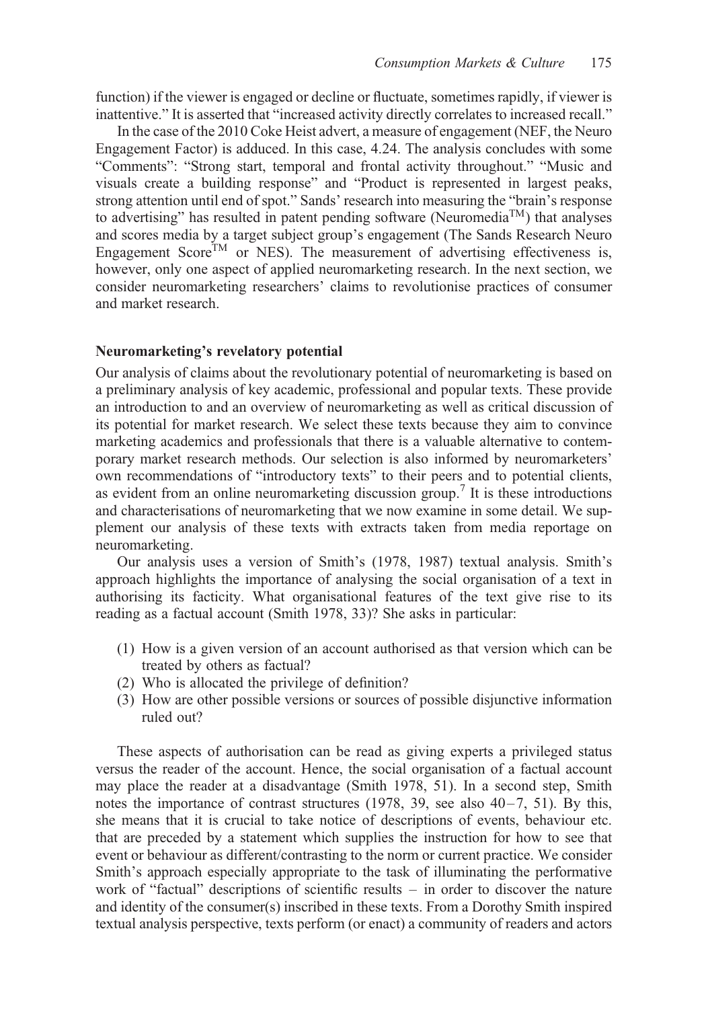function) if the viewer is engaged or decline or fluctuate, sometimes rapidly, if viewer is inattentive." It is asserted that "increased activity directly correlates to increased recall."

In the case of the 2010 Coke Heist advert, a measure of engagement (NEF, the Neuro Engagement Factor) is adduced. In this case, 4.24. The analysis concludes with some "Comments": "Strong start, temporal and frontal activity throughout." "Music and visuals create a building response" and "Product is represented in largest peaks, strong attention until end of spot." Sands' research into measuring the "brain's response to advertising" has resulted in patent pending software (Neuromedia<sup>TM</sup>) that analyses and scores media by a target subject group's engagement (The Sands Research Neuro Engagement Score<sup>TM</sup> or NES). The measurement of advertising effectiveness is, however, only one aspect of applied neuromarketing research. In the next section, we consider neuromarketing researchers' claims to revolutionise practices of consumer and market research.

#### Neuromarketing's revelatory potential

Our analysis of claims about the revolutionary potential of neuromarketing is based on a preliminary analysis of key academic, professional and popular texts. These provide an introduction to and an overview of neuromarketing as well as critical discussion of its potential for market research. We select these texts because they aim to convince marketing academics and professionals that there is a valuable alternative to contemporary market research methods. Our selection is also informed by neuromarketers' own recommendations of "introductory texts" to their peers and to potential clients, as evident from an online neuromarketing discussion group.<sup>7</sup> It is these introductions and characterisations of neuromarketing that we now examine in some detail. We supplement our analysis of these texts with extracts taken from media reportage on neuromarketing.

Our analysis uses a version of Smith's (1978, 1987) textual analysis. Smith's approach highlights the importance of analysing the social organisation of a text in authorising its facticity. What organisational features of the text give rise to its reading as a factual account (Smith 1978, 33)? She asks in particular:

- (1) How is a given version of an account authorised as that version which can be treated by others as factual?
- (2) Who is allocated the privilege of definition?
- (3) How are other possible versions or sources of possible disjunctive information ruled out?

These aspects of authorisation can be read as giving experts a privileged status versus the reader of the account. Hence, the social organisation of a factual account may place the reader at a disadvantage (Smith 1978, 51). In a second step, Smith notes the importance of contrast structures (1978, 39, see also 40–7, 51). By this, she means that it is crucial to take notice of descriptions of events, behaviour etc. that are preceded by a statement which supplies the instruction for how to see that event or behaviour as different/contrasting to the norm or current practice. We consider Smith's approach especially appropriate to the task of illuminating the performative work of "factual" descriptions of scientific results – in order to discover the nature and identity of the consumer(s) inscribed in these texts. From a Dorothy Smith inspired textual analysis perspective, texts perform (or enact) a community of readers and actors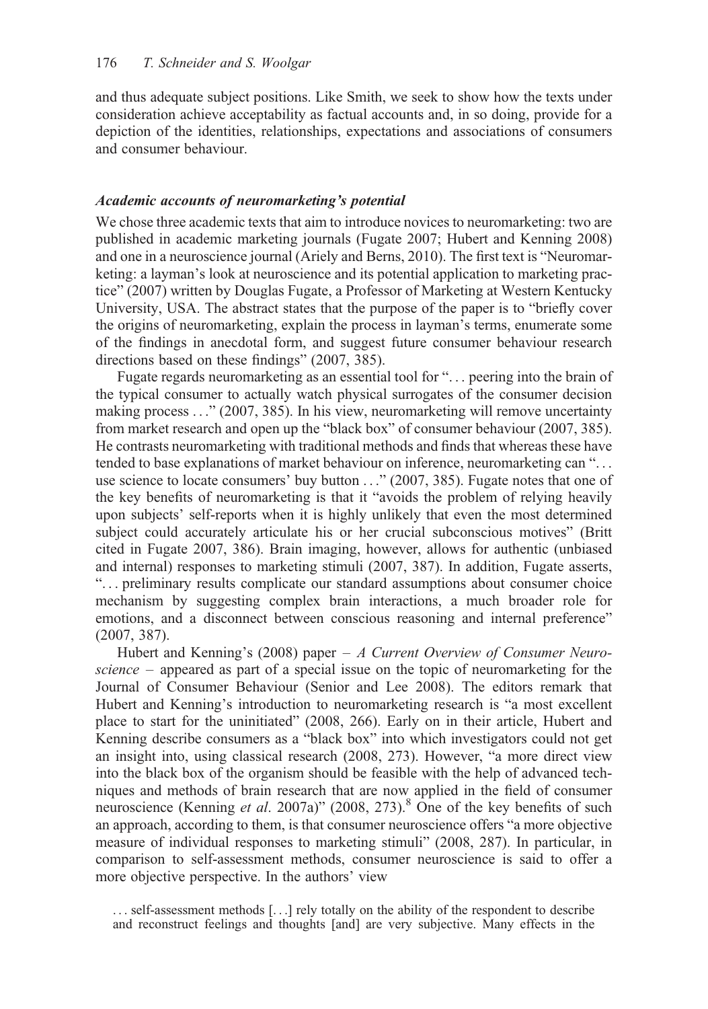and thus adequate subject positions. Like Smith, we seek to show how the texts under consideration achieve acceptability as factual accounts and, in so doing, provide for a depiction of the identities, relationships, expectations and associations of consumers and consumer behaviour.

# Academic accounts of neuromarketing's potential

We chose three academic texts that aim to introduce novices to neuromarketing: two are published in academic marketing journals (Fugate 2007; Hubert and Kenning 2008) and one in a neuroscience journal (Ariely and Berns, 2010). The first text is "Neuromarketing: a layman's look at neuroscience and its potential application to marketing practice" (2007) written by Douglas Fugate, a Professor of Marketing at Western Kentucky University, USA. The abstract states that the purpose of the paper is to "briefly cover the origins of neuromarketing, explain the process in layman's terms, enumerate some of the findings in anecdotal form, and suggest future consumer behaviour research directions based on these findings" (2007, 385).

Fugate regards neuromarketing as an essential tool for "... peering into the brain of the typical consumer to actually watch physical surrogates of the consumer decision making process ..." (2007, 385). In his view, neuromarketing will remove uncertainty from market research and open up the "black box" of consumer behaviour (2007, 385). He contrasts neuromarketing with traditional methods and finds that whereas these have tended to base explanations of market behaviour on inference, neuromarketing can "... use science to locate consumers' buy button ..." (2007, 385). Fugate notes that one of the key benefits of neuromarketing is that it "avoids the problem of relying heavily upon subjects' self-reports when it is highly unlikely that even the most determined subject could accurately articulate his or her crucial subconscious motives" (Britt cited in Fugate 2007, 386). Brain imaging, however, allows for authentic (unbiased and internal) responses to marketing stimuli (2007, 387). In addition, Fugate asserts, "... preliminary results complicate our standard assumptions about consumer choice mechanism by suggesting complex brain interactions, a much broader role for emotions, and a disconnect between conscious reasoning and internal preference" (2007, 387).

Hubert and Kenning's (2008) paper  $-A$  Current Overview of Consumer Neuroscience – appeared as part of a special issue on the topic of neuromarketing for the Journal of Consumer Behaviour (Senior and Lee 2008). The editors remark that Hubert and Kenning's introduction to neuromarketing research is "a most excellent place to start for the uninitiated" (2008, 266). Early on in their article, Hubert and Kenning describe consumers as a "black box" into which investigators could not get an insight into, using classical research (2008, 273). However, "a more direct view into the black box of the organism should be feasible with the help of advanced techniques and methods of brain research that are now applied in the field of consumer neuroscience (Kenning *et al.* 2007a)" (2008, 273).<sup>8</sup> One of the key benefits of such an approach, according to them, is that consumer neuroscience offers "a more objective measure of individual responses to marketing stimuli" (2008, 287). In particular, in comparison to self-assessment methods, consumer neuroscience is said to offer a more objective perspective. In the authors' view

... self-assessment methods [...] rely totally on the ability of the respondent to describe and reconstruct feelings and thoughts [and] are very subjective. Many effects in the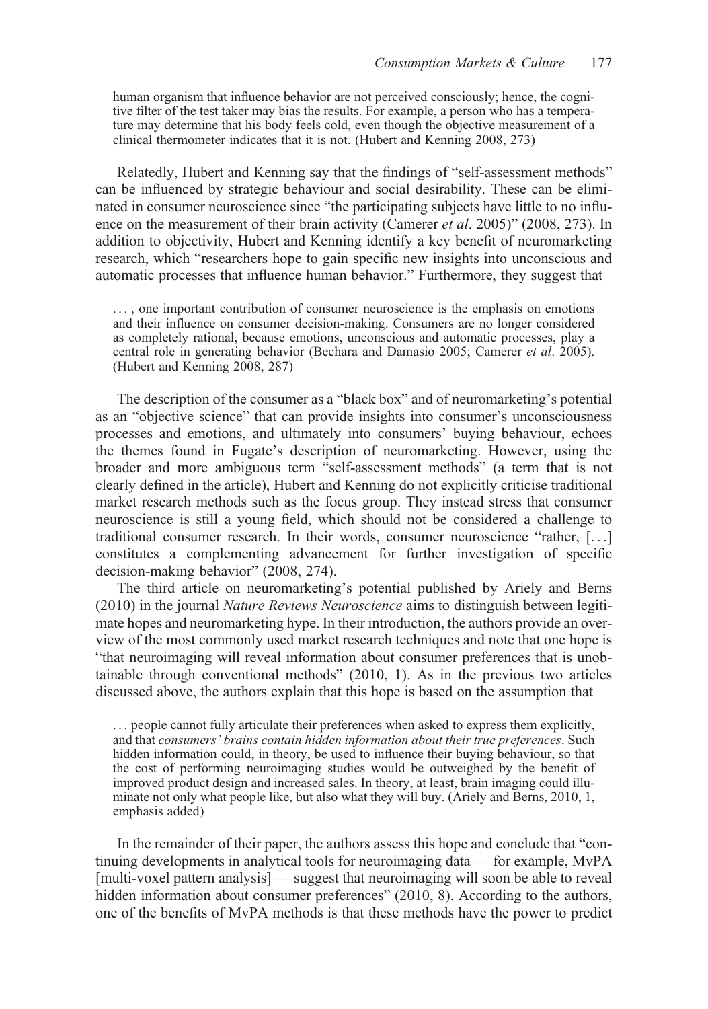human organism that influence behavior are not perceived consciously; hence, the cognitive filter of the test taker may bias the results. For example, a person who has a temperature may determine that his body feels cold, even though the objective measurement of a clinical thermometer indicates that it is not. (Hubert and Kenning 2008, 273)

Relatedly, Hubert and Kenning say that the findings of "self-assessment methods" can be influenced by strategic behaviour and social desirability. These can be eliminated in consumer neuroscience since "the participating subjects have little to no influence on the measurement of their brain activity (Camerer *et al.* 2005)" (2008, 273). In addition to objectivity, Hubert and Kenning identify a key benefit of neuromarketing research, which "researchers hope to gain specific new insights into unconscious and automatic processes that influence human behavior." Furthermore, they suggest that

... , one important contribution of consumer neuroscience is the emphasis on emotions and their influence on consumer decision-making. Consumers are no longer considered as completely rational, because emotions, unconscious and automatic processes, play a central role in generating behavior (Bechara and Damasio 2005; Camerer *et al.* 2005). (Hubert and Kenning 2008, 287)

The description of the consumer as a "black box" and of neuromarketing's potential as an "objective science" that can provide insights into consumer's unconsciousness processes and emotions, and ultimately into consumers' buying behaviour, echoes the themes found in Fugate's description of neuromarketing. However, using the broader and more ambiguous term "self-assessment methods" (a term that is not clearly defined in the article), Hubert and Kenning do not explicitly criticise traditional market research methods such as the focus group. They instead stress that consumer neuroscience is still a young field, which should not be considered a challenge to traditional consumer research. In their words, consumer neuroscience "rather, [...] constitutes a complementing advancement for further investigation of specific decision-making behavior" (2008, 274).

The third article on neuromarketing's potential published by Ariely and Berns (2010) in the journal Nature Reviews Neuroscience aims to distinguish between legitimate hopes and neuromarketing hype. In their introduction, the authors provide an overview of the most commonly used market research techniques and note that one hope is "that neuroimaging will reveal information about consumer preferences that is unobtainable through conventional methods" (2010, 1). As in the previous two articles discussed above, the authors explain that this hope is based on the assumption that

... people cannot fully articulate their preferences when asked to express them explicitly, and that consumers' brains contain hidden information about their true preferences. Such hidden information could, in theory, be used to influence their buying behaviour, so that the cost of performing neuroimaging studies would be outweighed by the benefit of improved product design and increased sales. In theory, at least, brain imaging could illuminate not only what people like, but also what they will buy. (Ariely and Berns, 2010, 1, emphasis added)

In the remainder of their paper, the authors assess this hope and conclude that "continuing developments in analytical tools for neuroimaging data — for example, MvPA [multi-voxel pattern analysis] — suggest that neuroimaging will soon be able to reveal hidden information about consumer preferences" (2010, 8). According to the authors, one of the benefits of MvPA methods is that these methods have the power to predict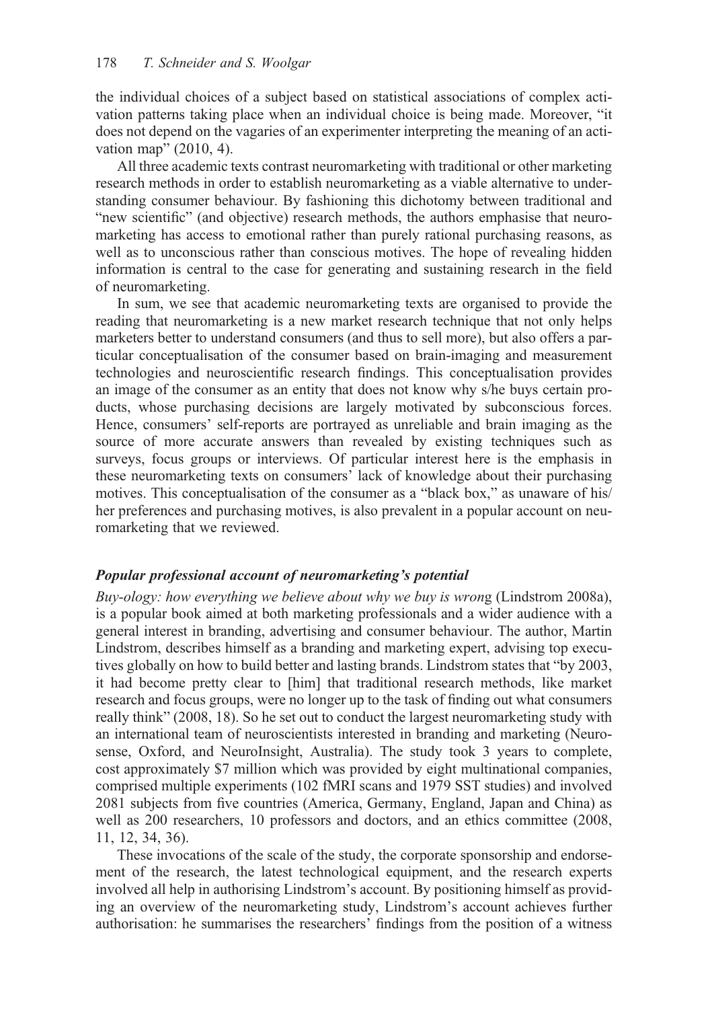the individual choices of a subject based on statistical associations of complex activation patterns taking place when an individual choice is being made. Moreover, "it does not depend on the vagaries of an experimenter interpreting the meaning of an activation map" (2010, 4).

All three academic texts contrast neuromarketing with traditional or other marketing research methods in order to establish neuromarketing as a viable alternative to understanding consumer behaviour. By fashioning this dichotomy between traditional and "new scientific" (and objective) research methods, the authors emphasise that neuromarketing has access to emotional rather than purely rational purchasing reasons, as well as to unconscious rather than conscious motives. The hope of revealing hidden information is central to the case for generating and sustaining research in the field of neuromarketing.

In sum, we see that academic neuromarketing texts are organised to provide the reading that neuromarketing is a new market research technique that not only helps marketers better to understand consumers (and thus to sell more), but also offers a particular conceptualisation of the consumer based on brain-imaging and measurement technologies and neuroscientific research findings. This conceptualisation provides an image of the consumer as an entity that does not know why s/he buys certain products, whose purchasing decisions are largely motivated by subconscious forces. Hence, consumers' self-reports are portrayed as unreliable and brain imaging as the source of more accurate answers than revealed by existing techniques such as surveys, focus groups or interviews. Of particular interest here is the emphasis in these neuromarketing texts on consumers' lack of knowledge about their purchasing motives. This conceptualisation of the consumer as a "black box," as unaware of his/ her preferences and purchasing motives, is also prevalent in a popular account on neuromarketing that we reviewed.

# Popular professional account of neuromarketing's potential

Buy-ology: how everything we believe about why we buy is wrong (Lindstrom 2008a), is a popular book aimed at both marketing professionals and a wider audience with a general interest in branding, advertising and consumer behaviour. The author, Martin Lindstrom, describes himself as a branding and marketing expert, advising top executives globally on how to build better and lasting brands. Lindstrom states that "by 2003, it had become pretty clear to [him] that traditional research methods, like market research and focus groups, were no longer up to the task of finding out what consumers really think" (2008, 18). So he set out to conduct the largest neuromarketing study with an international team of neuroscientists interested in branding and marketing (Neurosense, Oxford, and NeuroInsight, Australia). The study took 3 years to complete, cost approximately \$7 million which was provided by eight multinational companies, comprised multiple experiments (102 fMRI scans and 1979 SST studies) and involved 2081 subjects from five countries (America, Germany, England, Japan and China) as well as 200 researchers, 10 professors and doctors, and an ethics committee (2008, 11, 12, 34, 36).

These invocations of the scale of the study, the corporate sponsorship and endorsement of the research, the latest technological equipment, and the research experts involved all help in authorising Lindstrom's account. By positioning himself as providing an overview of the neuromarketing study, Lindstrom's account achieves further authorisation: he summarises the researchers' findings from the position of a witness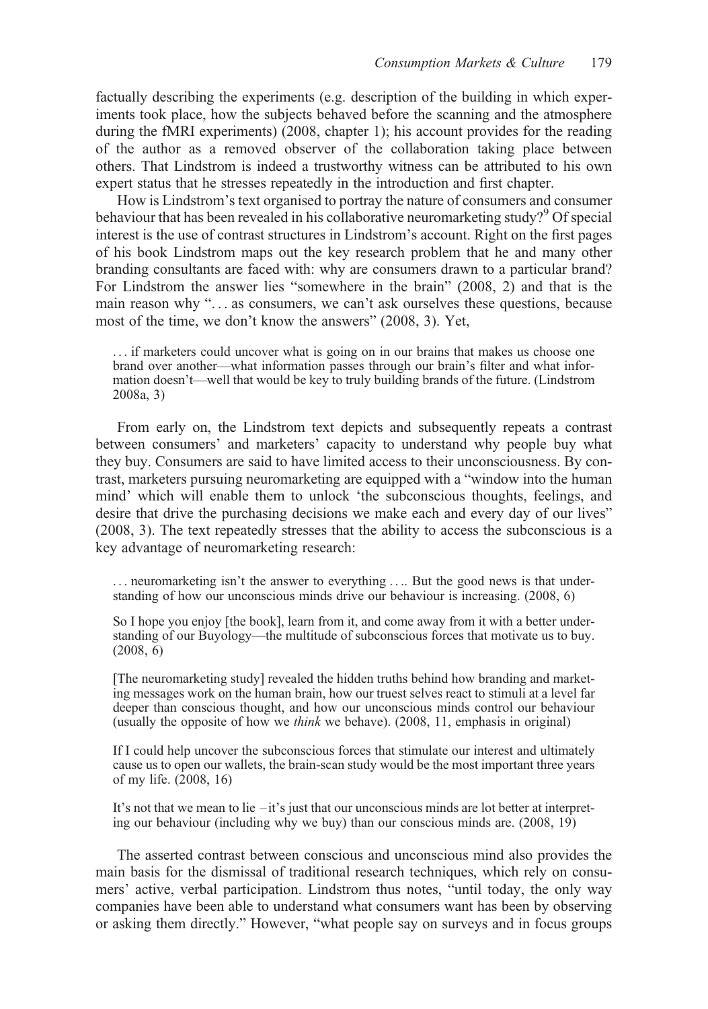factually describing the experiments (e.g. description of the building in which experiments took place, how the subjects behaved before the scanning and the atmosphere during the fMRI experiments) (2008, chapter 1); his account provides for the reading of the author as a removed observer of the collaboration taking place between others. That Lindstrom is indeed a trustworthy witness can be attributed to his own expert status that he stresses repeatedly in the introduction and first chapter.

How is Lindstrom's text organised to portray the nature of consumers and consumer behaviour that has been revealed in his collaborative neuromarketing study?<sup>9</sup> Of special interest is the use of contrast structures in Lindstrom's account. Right on the first pages of his book Lindstrom maps out the key research problem that he and many other branding consultants are faced with: why are consumers drawn to a particular brand? For Lindstrom the answer lies "somewhere in the brain" (2008, 2) and that is the main reason why "... as consumers, we can't ask ourselves these questions, because most of the time, we don't know the answers" (2008, 3). Yet,

... if marketers could uncover what is going on in our brains that makes us choose one brand over another—what information passes through our brain's filter and what information doesn't—well that would be key to truly building brands of the future. (Lindstrom 2008a, 3)

From early on, the Lindstrom text depicts and subsequently repeats a contrast between consumers' and marketers' capacity to understand why people buy what they buy. Consumers are said to have limited access to their unconsciousness. By contrast, marketers pursuing neuromarketing are equipped with a "window into the human mind' which will enable them to unlock 'the subconscious thoughts, feelings, and desire that drive the purchasing decisions we make each and every day of our lives" (2008, 3). The text repeatedly stresses that the ability to access the subconscious is a key advantage of neuromarketing research:

... neuromarketing isn't the answer to everything .... But the good news is that understanding of how our unconscious minds drive our behaviour is increasing. (2008, 6)

So I hope you enjoy [the book], learn from it, and come away from it with a better understanding of our Buyology—the multitude of subconscious forces that motivate us to buy. (2008, 6)

[The neuromarketing study] revealed the hidden truths behind how branding and marketing messages work on the human brain, how our truest selves react to stimuli at a level far deeper than conscious thought, and how our unconscious minds control our behaviour (usually the opposite of how we think we behave). (2008, 11, emphasis in original)

If I could help uncover the subconscious forces that stimulate our interest and ultimately cause us to open our wallets, the brain-scan study would be the most important three years of my life. (2008, 16)

It's not that we mean to lie –it's just that our unconscious minds are lot better at interpreting our behaviour (including why we buy) than our conscious minds are. (2008, 19)

The asserted contrast between conscious and unconscious mind also provides the main basis for the dismissal of traditional research techniques, which rely on consumers' active, verbal participation. Lindstrom thus notes, "until today, the only way companies have been able to understand what consumers want has been by observing or asking them directly." However, "what people say on surveys and in focus groups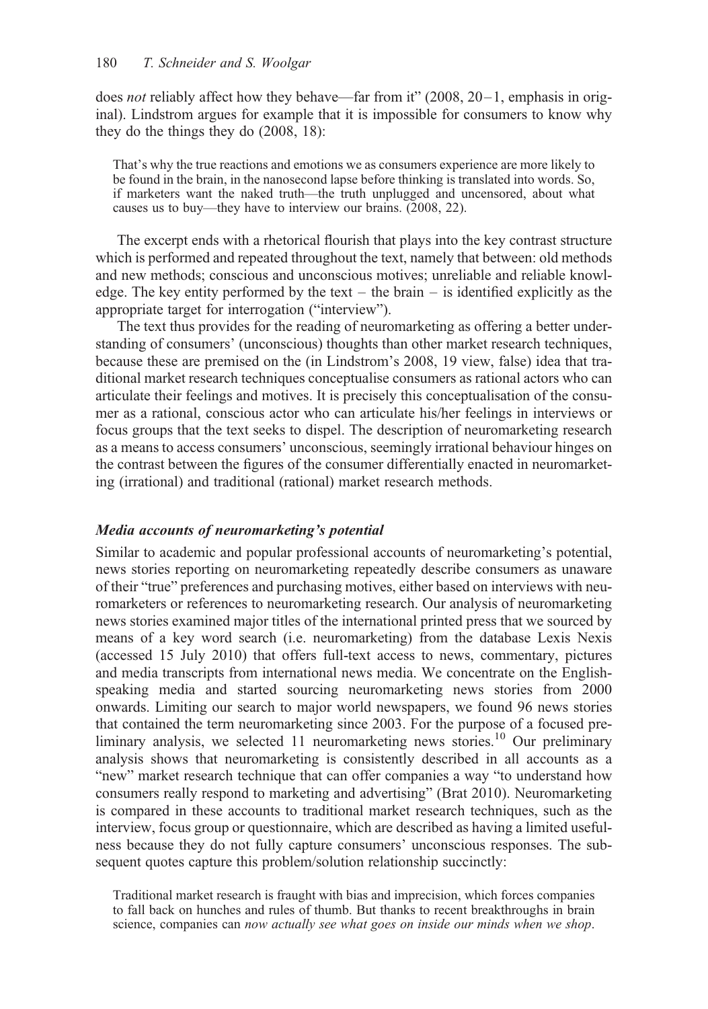does not reliably affect how they behave—far from it" (2008,  $20-1$ , emphasis in original). Lindstrom argues for example that it is impossible for consumers to know why they do the things they do (2008, 18):

That's why the true reactions and emotions we as consumers experience are more likely to be found in the brain, in the nanosecond lapse before thinking is translated into words. So, if marketers want the naked truth—the truth unplugged and uncensored, about what causes us to buy—they have to interview our brains. (2008, 22).

The excerpt ends with a rhetorical flourish that plays into the key contrast structure which is performed and repeated throughout the text, namely that between: old methods and new methods; conscious and unconscious motives; unreliable and reliable knowledge. The key entity performed by the text – the brain – is identified explicitly as the appropriate target for interrogation ("interview").

The text thus provides for the reading of neuromarketing as offering a better understanding of consumers' (unconscious) thoughts than other market research techniques, because these are premised on the (in Lindstrom's 2008, 19 view, false) idea that traditional market research techniques conceptualise consumers as rational actors who can articulate their feelings and motives. It is precisely this conceptualisation of the consumer as a rational, conscious actor who can articulate his/her feelings in interviews or focus groups that the text seeks to dispel. The description of neuromarketing research as a means to access consumers' unconscious, seemingly irrational behaviour hinges on the contrast between the figures of the consumer differentially enacted in neuromarketing (irrational) and traditional (rational) market research methods.

## Media accounts of neuromarketing's potential

Similar to academic and popular professional accounts of neuromarketing's potential, news stories reporting on neuromarketing repeatedly describe consumers as unaware of their "true" preferences and purchasing motives, either based on interviews with neuromarketers or references to neuromarketing research. Our analysis of neuromarketing news stories examined major titles of the international printed press that we sourced by means of a key word search (i.e. neuromarketing) from the database Lexis Nexis (accessed 15 July 2010) that offers full-text access to news, commentary, pictures and media transcripts from international news media. We concentrate on the Englishspeaking media and started sourcing neuromarketing news stories from 2000 onwards. Limiting our search to major world newspapers, we found 96 news stories that contained the term neuromarketing since 2003. For the purpose of a focused preliminary analysis, we selected 11 neuromarketing news stories.<sup>10</sup> Our preliminary analysis shows that neuromarketing is consistently described in all accounts as a "new" market research technique that can offer companies a way "to understand how consumers really respond to marketing and advertising" (Brat 2010). Neuromarketing is compared in these accounts to traditional market research techniques, such as the interview, focus group or questionnaire, which are described as having a limited usefulness because they do not fully capture consumers' unconscious responses. The subsequent quotes capture this problem/solution relationship succinctly:

Traditional market research is fraught with bias and imprecision, which forces companies to fall back on hunches and rules of thumb. But thanks to recent breakthroughs in brain science, companies can now actually see what goes on inside our minds when we shop.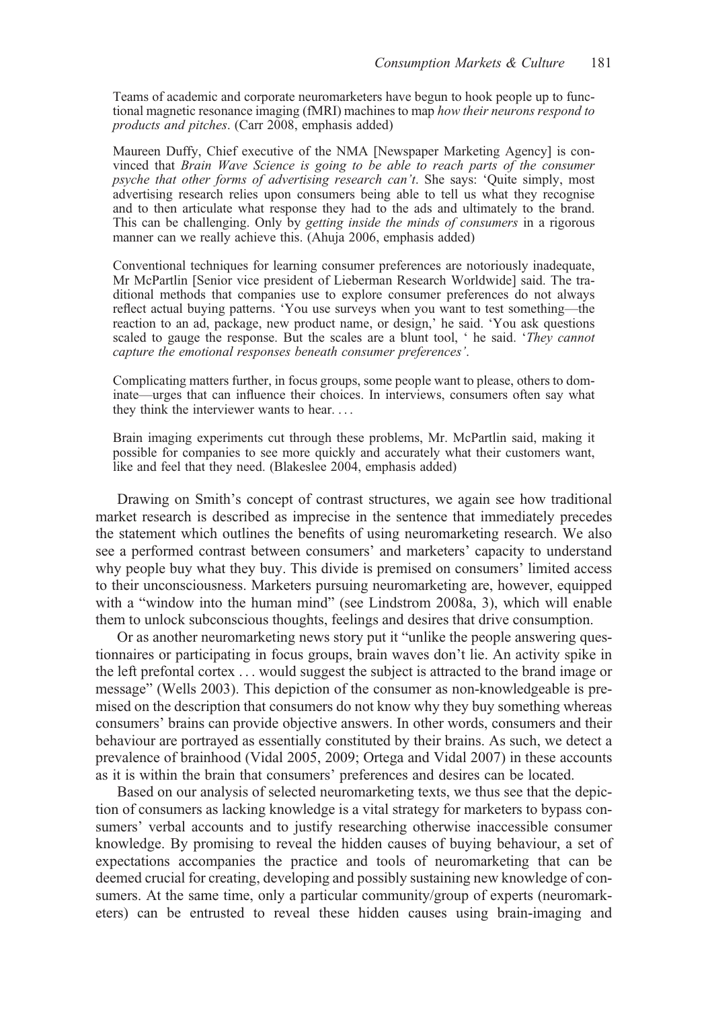Teams of academic and corporate neuromarketers have begun to hook people up to functional magnetic resonance imaging (fMRI) machines to map how their neurons respond to products and pitches. (Carr 2008, emphasis added)

Maureen Duffy, Chief executive of the NMA [Newspaper Marketing Agency] is convinced that Brain Wave Science is going to be able to reach parts of the consumer psyche that other forms of advertising research can't. She says: 'Quite simply, most advertising research relies upon consumers being able to tell us what they recognise and to then articulate what response they had to the ads and ultimately to the brand. This can be challenging. Only by getting inside the minds of consumers in a rigorous manner can we really achieve this. (Ahuja 2006, emphasis added)

Conventional techniques for learning consumer preferences are notoriously inadequate, Mr McPartlin [Senior vice president of Lieberman Research Worldwide] said. The traditional methods that companies use to explore consumer preferences do not always reflect actual buying patterns. 'You use surveys when you want to test something—the reaction to an ad, package, new product name, or design,' he said. 'You ask questions scaled to gauge the response. But the scales are a blunt tool, ' he said. 'They cannot capture the emotional responses beneath consumer preferences'.

Complicating matters further, in focus groups, some people want to please, others to dominate—urges that can influence their choices. In interviews, consumers often say what they think the interviewer wants to hear. ...

Brain imaging experiments cut through these problems, Mr. McPartlin said, making it possible for companies to see more quickly and accurately what their customers want, like and feel that they need. (Blakeslee 2004, emphasis added)

Drawing on Smith's concept of contrast structures, we again see how traditional market research is described as imprecise in the sentence that immediately precedes the statement which outlines the benefits of using neuromarketing research. We also see a performed contrast between consumers' and marketers' capacity to understand why people buy what they buy. This divide is premised on consumers' limited access to their unconsciousness. Marketers pursuing neuromarketing are, however, equipped with a "window into the human mind" (see Lindstrom 2008a, 3), which will enable them to unlock subconscious thoughts, feelings and desires that drive consumption.

Or as another neuromarketing news story put it "unlike the people answering questionnaires or participating in focus groups, brain waves don't lie. An activity spike in the left prefontal cortex ... would suggest the subject is attracted to the brand image or message" (Wells 2003). This depiction of the consumer as non-knowledgeable is premised on the description that consumers do not know why they buy something whereas consumers' brains can provide objective answers. In other words, consumers and their behaviour are portrayed as essentially constituted by their brains. As such, we detect a prevalence of brainhood (Vidal 2005, 2009; Ortega and Vidal 2007) in these accounts as it is within the brain that consumers' preferences and desires can be located.

Based on our analysis of selected neuromarketing texts, we thus see that the depiction of consumers as lacking knowledge is a vital strategy for marketers to bypass consumers' verbal accounts and to justify researching otherwise inaccessible consumer knowledge. By promising to reveal the hidden causes of buying behaviour, a set of expectations accompanies the practice and tools of neuromarketing that can be deemed crucial for creating, developing and possibly sustaining new knowledge of consumers. At the same time, only a particular community/group of experts (neuromarketers) can be entrusted to reveal these hidden causes using brain-imaging and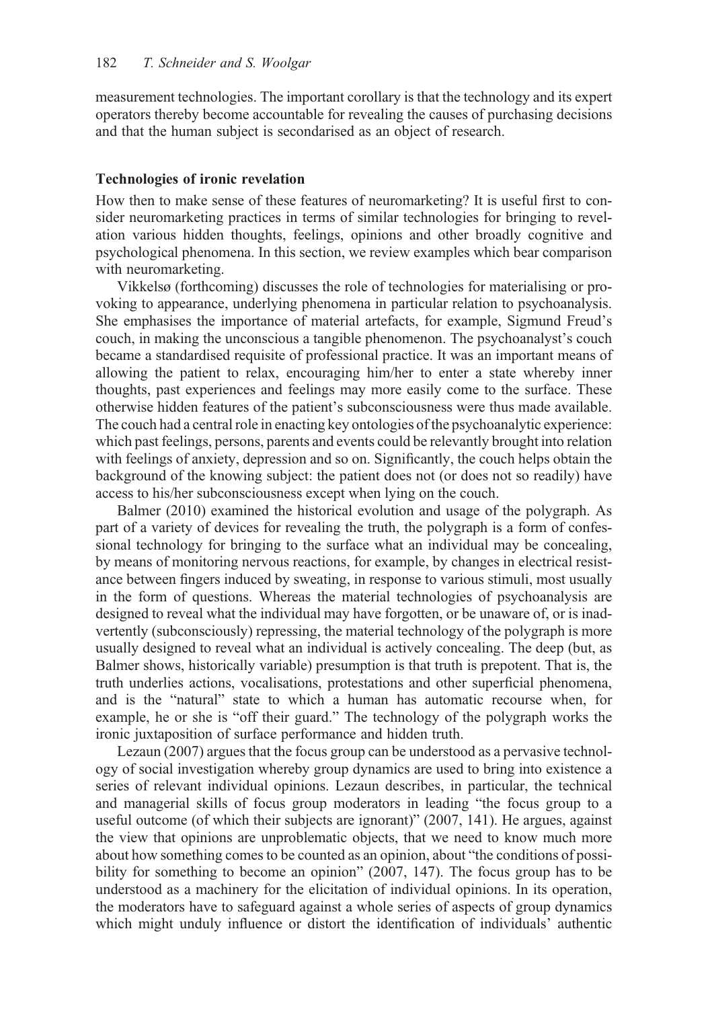measurement technologies. The important corollary is that the technology and its expert operators thereby become accountable for revealing the causes of purchasing decisions and that the human subject is secondarised as an object of research.

#### Technologies of ironic revelation

How then to make sense of these features of neuromarketing? It is useful first to consider neuromarketing practices in terms of similar technologies for bringing to revelation various hidden thoughts, feelings, opinions and other broadly cognitive and psychological phenomena. In this section, we review examples which bear comparison with neuromarketing.

Vikkelsø (forthcoming) discusses the role of technologies for materialising or provoking to appearance, underlying phenomena in particular relation to psychoanalysis. She emphasises the importance of material artefacts, for example, Sigmund Freud's couch, in making the unconscious a tangible phenomenon. The psychoanalyst's couch became a standardised requisite of professional practice. It was an important means of allowing the patient to relax, encouraging him/her to enter a state whereby inner thoughts, past experiences and feelings may more easily come to the surface. These otherwise hidden features of the patient's subconsciousness were thus made available. The couch had a central role in enacting key ontologies of the psychoanalytic experience: which past feelings, persons, parents and events could be relevantly brought into relation with feelings of anxiety, depression and so on. Significantly, the couch helps obtain the background of the knowing subject: the patient does not (or does not so readily) have access to his/her subconsciousness except when lying on the couch.

Balmer (2010) examined the historical evolution and usage of the polygraph. As part of a variety of devices for revealing the truth, the polygraph is a form of confessional technology for bringing to the surface what an individual may be concealing, by means of monitoring nervous reactions, for example, by changes in electrical resistance between fingers induced by sweating, in response to various stimuli, most usually in the form of questions. Whereas the material technologies of psychoanalysis are designed to reveal what the individual may have forgotten, or be unaware of, or is inadvertently (subconsciously) repressing, the material technology of the polygraph is more usually designed to reveal what an individual is actively concealing. The deep (but, as Balmer shows, historically variable) presumption is that truth is prepotent. That is, the truth underlies actions, vocalisations, protestations and other superficial phenomena, and is the "natural" state to which a human has automatic recourse when, for example, he or she is "off their guard." The technology of the polygraph works the ironic juxtaposition of surface performance and hidden truth.

Lezaun (2007) argues that the focus group can be understood as a pervasive technology of social investigation whereby group dynamics are used to bring into existence a series of relevant individual opinions. Lezaun describes, in particular, the technical and managerial skills of focus group moderators in leading "the focus group to a useful outcome (of which their subjects are ignorant)" (2007, 141). He argues, against the view that opinions are unproblematic objects, that we need to know much more about how something comes to be counted as an opinion, about "the conditions of possibility for something to become an opinion" (2007, 147). The focus group has to be understood as a machinery for the elicitation of individual opinions. In its operation, the moderators have to safeguard against a whole series of aspects of group dynamics which might unduly influence or distort the identification of individuals' authentic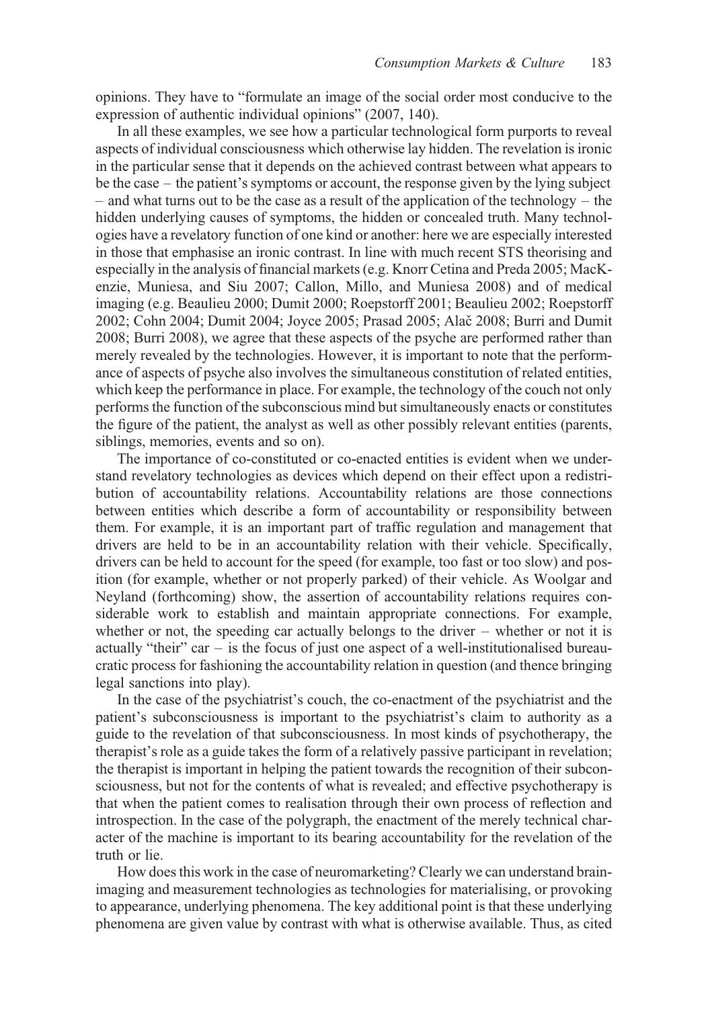opinions. They have to "formulate an image of the social order most conducive to the expression of authentic individual opinions" (2007, 140).

In all these examples, we see how a particular technological form purports to reveal aspects of individual consciousness which otherwise lay hidden. The revelation is ironic in the particular sense that it depends on the achieved contrast between what appears to be the case – the patient's symptoms or account, the response given by the lying subject – and what turns out to be the case as a result of the application of the technology – the hidden underlying causes of symptoms, the hidden or concealed truth. Many technologies have a revelatory function of one kind or another: here we are especially interested in those that emphasise an ironic contrast. In line with much recent STS theorising and especially in the analysis of financial markets (e.g. Knorr Cetina and Preda 2005; MacKenzie, Muniesa, and Siu 2007; Callon, Millo, and Muniesa 2008) and of medical imaging (e.g. Beaulieu 2000; Dumit 2000; Roepstorff 2001; Beaulieu 2002; Roepstorff 2002; Cohn 2004; Dumit 2004; Joyce 2005; Prasad 2005; Alacˇ 2008; Burri and Dumit 2008; Burri 2008), we agree that these aspects of the psyche are performed rather than merely revealed by the technologies. However, it is important to note that the performance of aspects of psyche also involves the simultaneous constitution of related entities, which keep the performance in place. For example, the technology of the couch not only performs the function of the subconscious mind but simultaneously enacts or constitutes the figure of the patient, the analyst as well as other possibly relevant entities (parents, siblings, memories, events and so on).

The importance of co-constituted or co-enacted entities is evident when we understand revelatory technologies as devices which depend on their effect upon a redistribution of accountability relations. Accountability relations are those connections between entities which describe a form of accountability or responsibility between them. For example, it is an important part of traffic regulation and management that drivers are held to be in an accountability relation with their vehicle. Specifically, drivers can be held to account for the speed (for example, too fast or too slow) and position (for example, whether or not properly parked) of their vehicle. As Woolgar and Neyland (forthcoming) show, the assertion of accountability relations requires considerable work to establish and maintain appropriate connections. For example, whether or not, the speeding car actually belongs to the driver – whether or not it is actually "their" car  $-$  is the focus of just one aspect of a well-institutionalised bureaucratic process for fashioning the accountability relation in question (and thence bringing legal sanctions into play).

In the case of the psychiatrist's couch, the co-enactment of the psychiatrist and the patient's subconsciousness is important to the psychiatrist's claim to authority as a guide to the revelation of that subconsciousness. In most kinds of psychotherapy, the therapist's role as a guide takes the form of a relatively passive participant in revelation; the therapist is important in helping the patient towards the recognition of their subconsciousness, but not for the contents of what is revealed; and effective psychotherapy is that when the patient comes to realisation through their own process of reflection and introspection. In the case of the polygraph, the enactment of the merely technical character of the machine is important to its bearing accountability for the revelation of the truth or lie.

How does this work in the case of neuromarketing? Clearly we can understand brainimaging and measurement technologies as technologies for materialising, or provoking to appearance, underlying phenomena. The key additional point is that these underlying phenomena are given value by contrast with what is otherwise available. Thus, as cited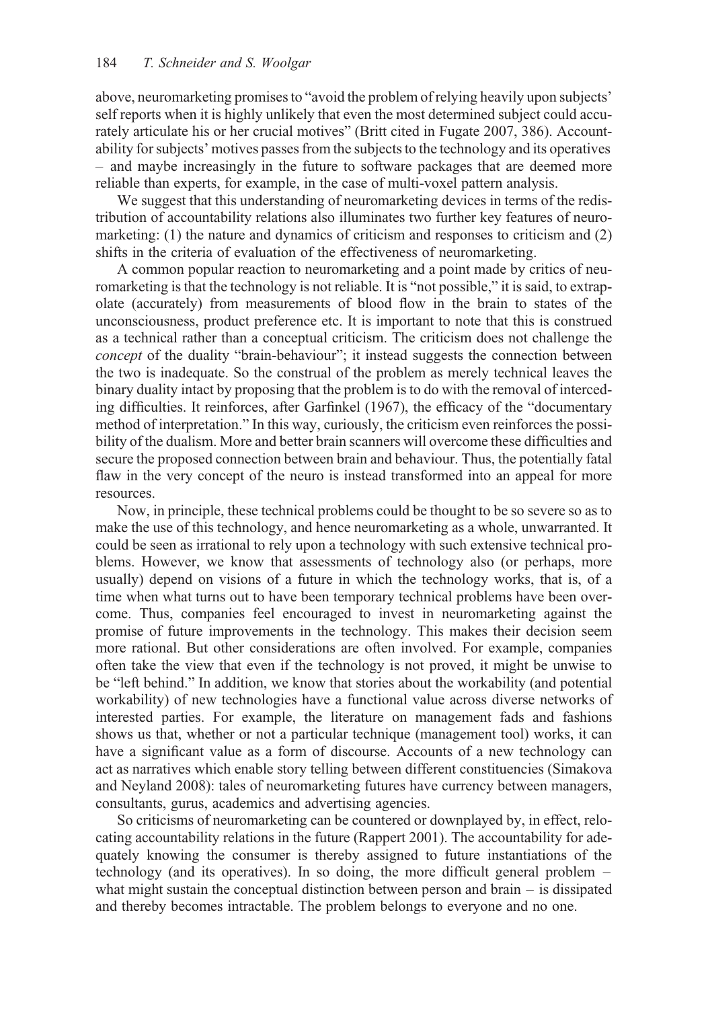above, neuromarketing promises to "avoid the problem of relying heavily upon subjects' self reports when it is highly unlikely that even the most determined subject could accurately articulate his or her crucial motives" (Britt cited in Fugate 2007, 386). Accountability for subjects' motives passes from the subjects to the technology and its operatives – and maybe increasingly in the future to software packages that are deemed more reliable than experts, for example, in the case of multi-voxel pattern analysis.

We suggest that this understanding of neuromarketing devices in terms of the redistribution of accountability relations also illuminates two further key features of neuromarketing: (1) the nature and dynamics of criticism and responses to criticism and (2) shifts in the criteria of evaluation of the effectiveness of neuromarketing.

A common popular reaction to neuromarketing and a point made by critics of neuromarketing is that the technology is not reliable. It is "not possible," it is said, to extrapolate (accurately) from measurements of blood flow in the brain to states of the unconsciousness, product preference etc. It is important to note that this is construed as a technical rather than a conceptual criticism. The criticism does not challenge the concept of the duality "brain-behaviour"; it instead suggests the connection between the two is inadequate. So the construal of the problem as merely technical leaves the binary duality intact by proposing that the problem is to do with the removal of interceding difficulties. It reinforces, after Garfinkel (1967), the efficacy of the "documentary method of interpretation." In this way, curiously, the criticism even reinforces the possibility of the dualism. More and better brain scanners will overcome these difficulties and secure the proposed connection between brain and behaviour. Thus, the potentially fatal flaw in the very concept of the neuro is instead transformed into an appeal for more resources.

Now, in principle, these technical problems could be thought to be so severe so as to make the use of this technology, and hence neuromarketing as a whole, unwarranted. It could be seen as irrational to rely upon a technology with such extensive technical problems. However, we know that assessments of technology also (or perhaps, more usually) depend on visions of a future in which the technology works, that is, of a time when what turns out to have been temporary technical problems have been overcome. Thus, companies feel encouraged to invest in neuromarketing against the promise of future improvements in the technology. This makes their decision seem more rational. But other considerations are often involved. For example, companies often take the view that even if the technology is not proved, it might be unwise to be "left behind." In addition, we know that stories about the workability (and potential workability) of new technologies have a functional value across diverse networks of interested parties. For example, the literature on management fads and fashions shows us that, whether or not a particular technique (management tool) works, it can have a significant value as a form of discourse. Accounts of a new technology can act as narratives which enable story telling between different constituencies (Simakova and Neyland 2008): tales of neuromarketing futures have currency between managers, consultants, gurus, academics and advertising agencies.

So criticisms of neuromarketing can be countered or downplayed by, in effect, relocating accountability relations in the future (Rappert 2001). The accountability for adequately knowing the consumer is thereby assigned to future instantiations of the technology (and its operatives). In so doing, the more difficult general problem – what might sustain the conceptual distinction between person and brain – is dissipated and thereby becomes intractable. The problem belongs to everyone and no one.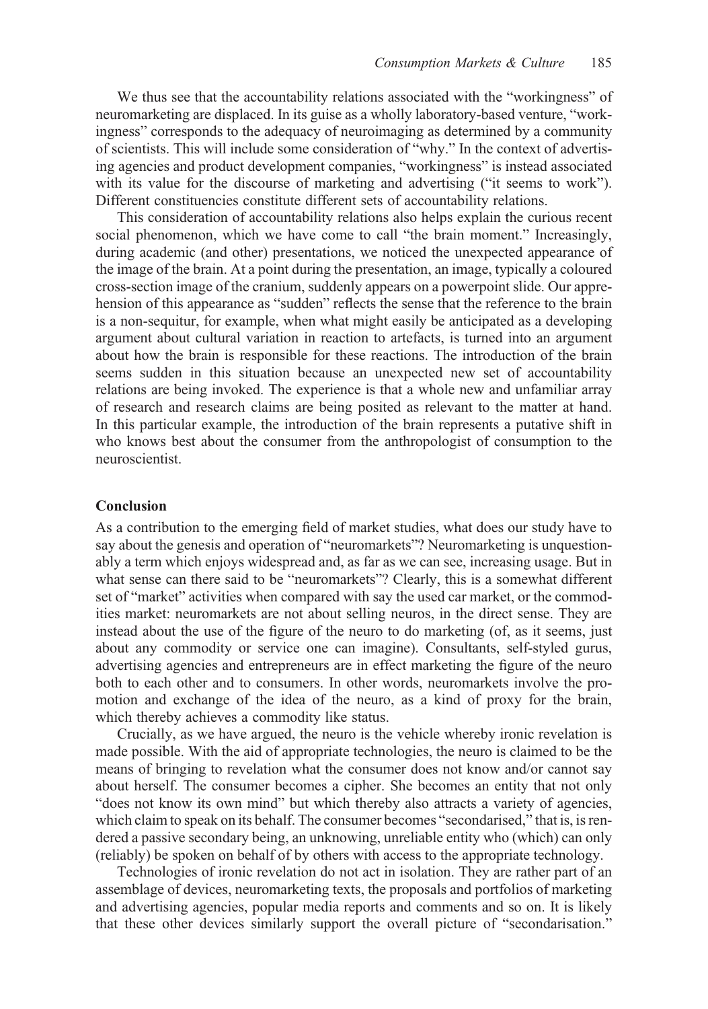We thus see that the accountability relations associated with the "workingness" of neuromarketing are displaced. In its guise as a wholly laboratory-based venture, "workingness" corresponds to the adequacy of neuroimaging as determined by a community of scientists. This will include some consideration of "why." In the context of advertising agencies and product development companies, "workingness" is instead associated with its value for the discourse of marketing and advertising ("it seems to work"). Different constituencies constitute different sets of accountability relations.

This consideration of accountability relations also helps explain the curious recent social phenomenon, which we have come to call "the brain moment." Increasingly, during academic (and other) presentations, we noticed the unexpected appearance of the image of the brain. At a point during the presentation, an image, typically a coloured cross-section image of the cranium, suddenly appears on a powerpoint slide. Our apprehension of this appearance as "sudden" reflects the sense that the reference to the brain is a non-sequitur, for example, when what might easily be anticipated as a developing argument about cultural variation in reaction to artefacts, is turned into an argument about how the brain is responsible for these reactions. The introduction of the brain seems sudden in this situation because an unexpected new set of accountability relations are being invoked. The experience is that a whole new and unfamiliar array of research and research claims are being posited as relevant to the matter at hand. In this particular example, the introduction of the brain represents a putative shift in who knows best about the consumer from the anthropologist of consumption to the neuroscientist.

#### Conclusion

As a contribution to the emerging field of market studies, what does our study have to say about the genesis and operation of "neuromarkets"? Neuromarketing is unquestionably a term which enjoys widespread and, as far as we can see, increasing usage. But in what sense can there said to be "neuromarkets"? Clearly, this is a somewhat different set of "market" activities when compared with say the used car market, or the commodities market: neuromarkets are not about selling neuros, in the direct sense. They are instead about the use of the figure of the neuro to do marketing (of, as it seems, just about any commodity or service one can imagine). Consultants, self-styled gurus, advertising agencies and entrepreneurs are in effect marketing the figure of the neuro both to each other and to consumers. In other words, neuromarkets involve the promotion and exchange of the idea of the neuro, as a kind of proxy for the brain, which thereby achieves a commodity like status.

Crucially, as we have argued, the neuro is the vehicle whereby ironic revelation is made possible. With the aid of appropriate technologies, the neuro is claimed to be the means of bringing to revelation what the consumer does not know and/or cannot say about herself. The consumer becomes a cipher. She becomes an entity that not only "does not know its own mind" but which thereby also attracts a variety of agencies, which claim to speak on its behalf. The consumer becomes "secondarised," that is, is rendered a passive secondary being, an unknowing, unreliable entity who (which) can only (reliably) be spoken on behalf of by others with access to the appropriate technology.

Technologies of ironic revelation do not act in isolation. They are rather part of an assemblage of devices, neuromarketing texts, the proposals and portfolios of marketing and advertising agencies, popular media reports and comments and so on. It is likely that these other devices similarly support the overall picture of "secondarisation."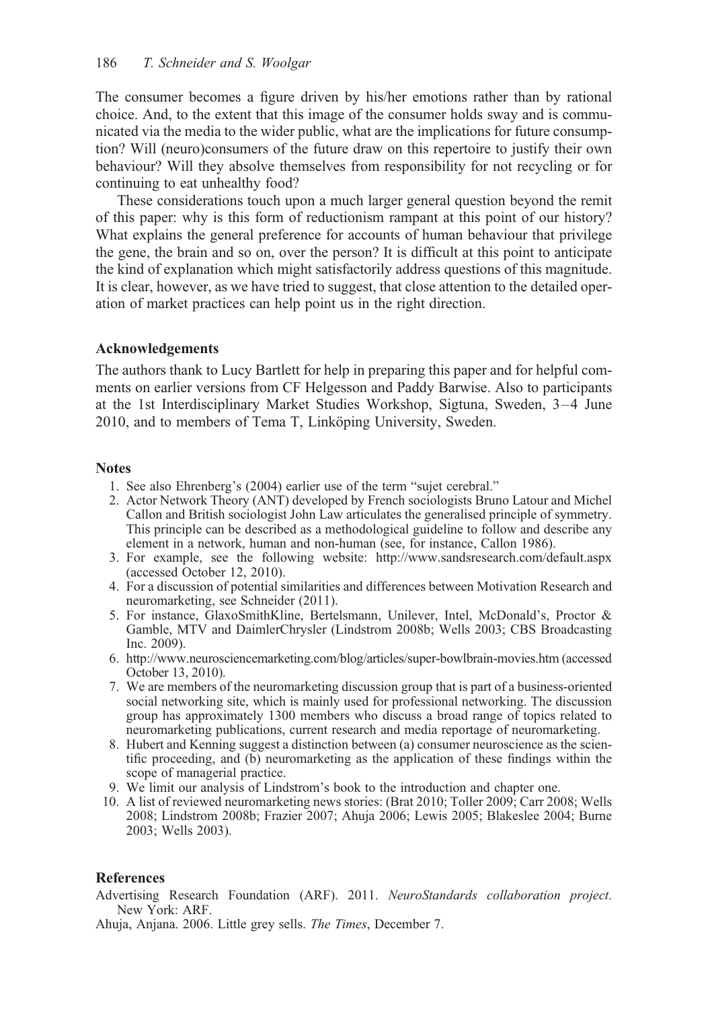The consumer becomes a figure driven by his/her emotions rather than by rational choice. And, to the extent that this image of the consumer holds sway and is communicated via the media to the wider public, what are the implications for future consumption? Will (neuro)consumers of the future draw on this repertoire to justify their own behaviour? Will they absolve themselves from responsibility for not recycling or for continuing to eat unhealthy food?

These considerations touch upon a much larger general question beyond the remit of this paper: why is this form of reductionism rampant at this point of our history? What explains the general preference for accounts of human behaviour that privilege the gene, the brain and so on, over the person? It is difficult at this point to anticipate the kind of explanation which might satisfactorily address questions of this magnitude. It is clear, however, as we have tried to suggest, that close attention to the detailed operation of market practices can help point us in the right direction.

## Acknowledgements

The authors thank to Lucy Bartlett for help in preparing this paper and for helpful comments on earlier versions from CF Helgesson and Paddy Barwise. Also to participants at the 1st Interdisciplinary Market Studies Workshop, Sigtuna, Sweden, 3–4 June 2010, and to members of Tema T, Linköping University, Sweden.

## **Notes**

- 1. See also Ehrenberg's (2004) earlier use of the term "sujet cerebral."
- 2. Actor Network Theory (ANT) developed by French sociologists Bruno Latour and Michel Callon and British sociologist John Law articulates the generalised principle of symmetry. This principle can be described as a methodological guideline to follow and describe any element in a network, human and non-human (see, for instance, Callon 1986).
- 3. For example, see the following website:<http://www.sandsresearch.com/default.aspx> (accessed October 12, 2010).
- 4. For a discussion of potential similarities and differences between Motivation Research and neuromarketing, see Schneider (2011).
- 5. For instance, GlaxoSmithKline, Bertelsmann, Unilever, Intel, McDonald's, Proctor & Gamble, MTV and DaimlerChrysler (Lindstrom 2008b; Wells 2003; CBS Broadcasting Inc. 2009).
- 6.<http://www.neurosciencemarketing.com/blog/articles/super-bowlbrain-movies.htm> (accessed October 13, 2010).
- 7. We are members of the neuromarketing discussion group that is part of a business-oriented social networking site, which is mainly used for professional networking. The discussion group has approximately 1300 members who discuss a broad range of topics related to neuromarketing publications, current research and media reportage of neuromarketing.
- 8. Hubert and Kenning suggest a distinction between (a) consumer neuroscience as the scientific proceeding, and (b) neuromarketing as the application of these findings within the scope of managerial practice.
- 9. We limit our analysis of Lindstrom's book to the introduction and chapter one.
- 10. A list of reviewed neuromarketing news stories: (Brat 2010; Toller 2009; Carr 2008; Wells 2008; Lindstrom 2008b; Frazier 2007; Ahuja 2006; Lewis 2005; Blakeslee 2004; Burne 2003; Wells 2003).

## References

- Advertising Research Foundation (ARF). 2011. NeuroStandards collaboration project. New York: ARF.
- Ahuja, Anjana. 2006. Little grey sells. The Times, December 7.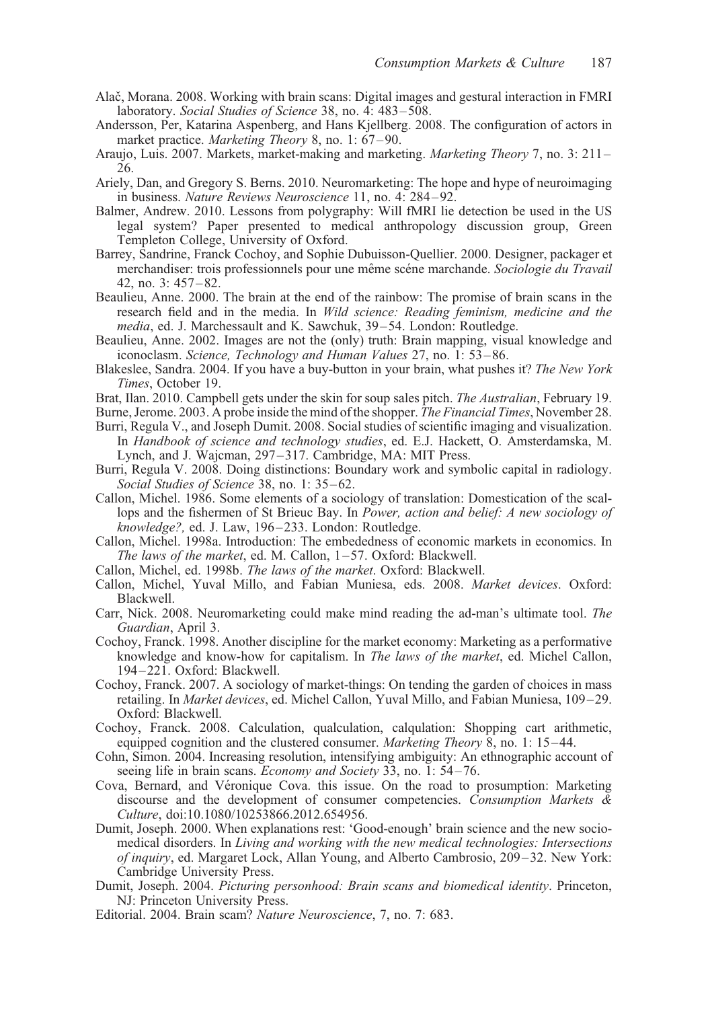- Alač, Morana. 2008. Working with brain scans: Digital images and gestural interaction in FMRI laboratory. Social Studies of Science 38, no. 4: 483–508.
- Andersson, Per, Katarina Aspenberg, and Hans Kjellberg. 2008. The configuration of actors in market practice. Marketing Theory 8, no. 1: 67–90.
- Araujo, Luis. 2007. Markets, market-making and marketing. Marketing Theory 7, no. 3: 211– 26.
- Ariely, Dan, and Gregory S. Berns. 2010. Neuromarketing: The hope and hype of neuroimaging in business. Nature Reviews Neuroscience 11, no. 4: 284–92.
- Balmer, Andrew. 2010. Lessons from polygraphy: Will fMRI lie detection be used in the US legal system? Paper presented to medical anthropology discussion group, Green Templeton College, University of Oxford.
- Barrey, Sandrine, Franck Cochoy, and Sophie Dubuisson-Quellier. 2000. Designer, packager et merchandiser: trois professionnels pour une même scéne marchande. Sociologie du Travail 42, no. 3: 457–82.
- Beaulieu, Anne. 2000. The brain at the end of the rainbow: The promise of brain scans in the research field and in the media. In Wild science: Reading feminism, medicine and the media, ed. J. Marchessault and K. Sawchuk, 39–54. London: Routledge.
- Beaulieu, Anne. 2002. Images are not the (only) truth: Brain mapping, visual knowledge and iconoclasm. Science, Technology and Human Values 27, no. 1: 53–86.
- Blakeslee, Sandra. 2004. If you have a buy-button in your brain, what pushes it? The New York Times, October 19.
- Brat, Ilan. 2010. Campbell gets under the skin for soup sales pitch. The Australian, February 19.
- Burne, Jerome. 2003. A probe inside the mind of the shopper. The Financial Times, November 28.
- Burri, Regula V., and Joseph Dumit. 2008. Social studies of scientific imaging and visualization. In Handbook of science and technology studies, ed. E.J. Hackett, O. Amsterdamska, M. Lynch, and J. Wajcman, 297–317. Cambridge, MA: MIT Press.
- Burri, Regula V. 2008. Doing distinctions: Boundary work and symbolic capital in radiology. Social Studies of Science 38, no. 1: 35–62.
- Callon, Michel. 1986. Some elements of a sociology of translation: Domestication of the scallops and the fishermen of St Brieuc Bay. In Power, action and belief: A new sociology of knowledge?, ed. J. Law, 196–233. London: Routledge.
- Callon, Michel. 1998a. Introduction: The embededness of economic markets in economics. In The laws of the market, ed. M. Callon, 1–57. Oxford: Blackwell.
- Callon, Michel, ed. 1998b. The laws of the market. Oxford: Blackwell.
- Callon, Michel, Yuval Millo, and Fabian Muniesa, eds. 2008. Market devices. Oxford: Blackwell.
- Carr, Nick. 2008. Neuromarketing could make mind reading the ad-man's ultimate tool. The Guardian, April 3.
- Cochoy, Franck. 1998. Another discipline for the market economy: Marketing as a performative knowledge and know-how for capitalism. In The laws of the market, ed. Michel Callon, 194–221. Oxford: Blackwell.
- Cochoy, Franck. 2007. A sociology of market-things: On tending the garden of choices in mass retailing. In Market devices, ed. Michel Callon, Yuval Millo, and Fabian Muniesa, 109–29. Oxford: Blackwell.
- Cochoy, Franck. 2008. Calculation, qualculation, calqulation: Shopping cart arithmetic, equipped cognition and the clustered consumer. *Marketing Theory 8*, no. 1: 15–44.
- Cohn, Simon. 2004. Increasing resolution, intensifying ambiguity: An ethnographic account of seeing life in brain scans. *Economy and Society* 33, no. 1: 54–76.
- Cova, Bernard, and Véronique Cova. this issue. On the road to prosumption: Marketing discourse and the development of consumer competencies. Consumption Markets & Culture, doi:10.1080/10253866.2012.654956.
- Dumit, Joseph. 2000. When explanations rest: 'Good-enough' brain science and the new sociomedical disorders. In Living and working with the new medical technologies: Intersections of inquiry, ed. Margaret Lock, Allan Young, and Alberto Cambrosio, 209–32. New York: Cambridge University Press.
- Dumit, Joseph. 2004. Picturing personhood: Brain scans and biomedical identity. Princeton, NJ: Princeton University Press.
- Editorial. 2004. Brain scam? Nature Neuroscience, 7, no. 7: 683.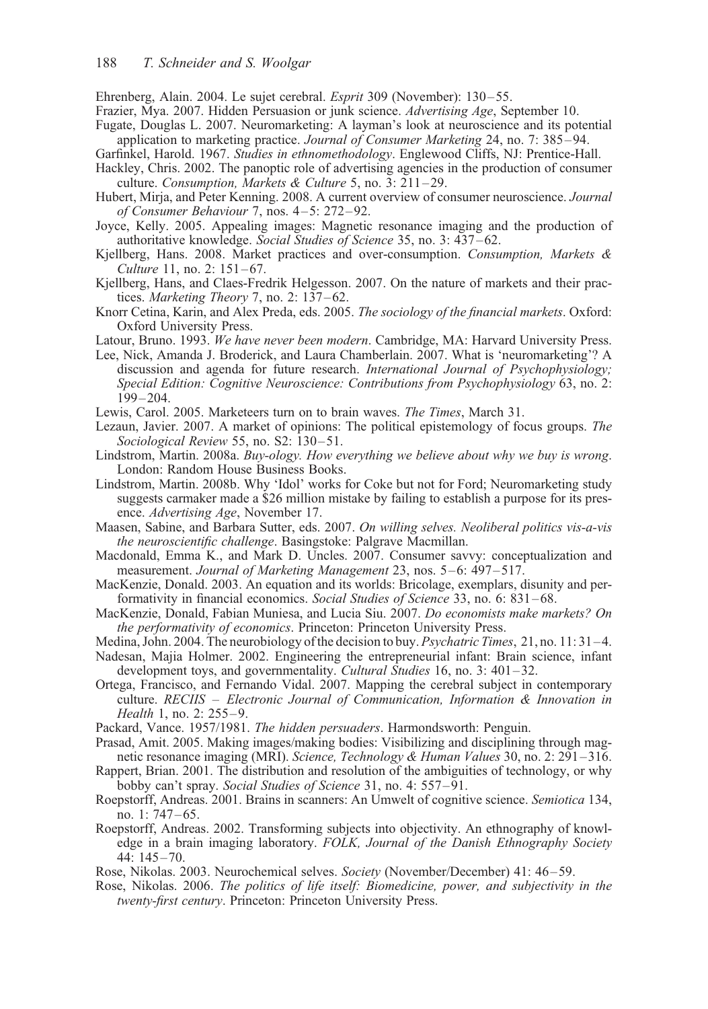Ehrenberg, Alain. 2004. Le sujet cerebral. Esprit 309 (November): 130–55.

- Frazier, Mya. 2007. Hidden Persuasion or junk science. Advertising Age, September 10.
- Fugate, Douglas L. 2007. Neuromarketing: A layman's look at neuroscience and its potential application to marketing practice. Journal of Consumer Marketing 24, no. 7:  $385-94$ .
- Garfinkel, Harold. 1967. Studies in ethnomethodology. Englewood Cliffs, NJ: Prentice-Hall.
- Hackley, Chris. 2002. The panoptic role of advertising agencies in the production of consumer culture. Consumption, Markets & Culture 5, no. 3:  $211-29$ .
- Hubert, Mirja, and Peter Kenning. 2008. A current overview of consumer neuroscience. Journal of Consumer Behaviour 7, nos. 4–5: 272–92.
- Joyce, Kelly. 2005. Appealing images: Magnetic resonance imaging and the production of authoritative knowledge. Social Studies of Science 35, no. 3: 437–62.
- Kjellberg, Hans. 2008. Market practices and over-consumption. Consumption, Markets & Culture 11, no. 2: 151–67.
- Kjellberg, Hans, and Claes-Fredrik Helgesson. 2007. On the nature of markets and their practices. Marketing Theory 7, no. 2: 137–62.
- Knorr Cetina, Karin, and Alex Preda, eds. 2005. The sociology of the financial markets. Oxford: Oxford University Press.
- Latour, Bruno. 1993. We have never been modern. Cambridge, MA: Harvard University Press.
- Lee, Nick, Amanda J. Broderick, and Laura Chamberlain. 2007. What is 'neuromarketing'? A discussion and agenda for future research. *International Journal of Psychophysiology*; Special Edition: Cognitive Neuroscience: Contributions from Psychophysiology 63, no. 2: 199–204.
- Lewis, Carol. 2005. Marketeers turn on to brain waves. The Times, March 31.
- Lezaun, Javier. 2007. A market of opinions: The political epistemology of focus groups. The Sociological Review 55, no. S2: 130–51.
- Lindstrom, Martin. 2008a. Buy-ology. How everything we believe about why we buy is wrong. London: Random House Business Books.
- Lindstrom, Martin. 2008b. Why 'Idol' works for Coke but not for Ford; Neuromarketing study suggests carmaker made a \$26 million mistake by failing to establish a purpose for its presence. Advertising Age, November 17.
- Maasen, Sabine, and Barbara Sutter, eds. 2007. On willing selves. Neoliberal politics vis-a-vis the neuroscientific challenge. Basingstoke: Palgrave Macmillan.
- Macdonald, Emma K., and Mark D. Uncles. 2007. Consumer savvy: conceptualization and measurement. Journal of Marketing Management 23, nos. 5–6: 497–517.
- MacKenzie, Donald. 2003. An equation and its worlds: Bricolage, exemplars, disunity and performativity in financial economics. Social Studies of Science 33, no. 6: 831-68.
- MacKenzie, Donald, Fabian Muniesa, and Lucia Siu. 2007. Do economists make markets? On the performativity of economics. Princeton: Princeton University Press.
- Medina, John. 2004. The neurobiology of the decision to buy. Psychatric Times, 21, no. 11: 31–4.
- Nadesan, Majia Holmer. 2002. Engineering the entrepreneurial infant: Brain science, infant development toys, and governmentality. Cultural Studies 16, no. 3: 401-32.
- Ortega, Francisco, and Fernando Vidal. 2007. Mapping the cerebral subject in contemporary culture. RECIIS – Electronic Journal of Communication, Information & Innovation in Health 1, no. 2: 255–9.
- Packard, Vance. 1957/1981. The hidden persuaders. Harmondsworth: Penguin.
- Prasad, Amit. 2005. Making images/making bodies: Visibilizing and disciplining through magnetic resonance imaging (MRI). Science, Technology & Human Values 30, no. 2: 291–316.
- Rappert, Brian. 2001. The distribution and resolution of the ambiguities of technology, or why bobby can't spray. Social Studies of Science 31, no. 4: 557–91.
- Roepstorff, Andreas. 2001. Brains in scanners: An Umwelt of cognitive science. Semiotica 134, no. 1: 747–65.
- Roepstorff, Andreas. 2002. Transforming subjects into objectivity. An ethnography of knowledge in a brain imaging laboratory. FOLK, Journal of the Danish Ethnography Society 44: 145–70.
- Rose, Nikolas. 2003. Neurochemical selves. Society (November/December) 41: 46–59.
- Rose, Nikolas. 2006. The politics of life itself: Biomedicine, power, and subjectivity in the twenty-first century. Princeton: Princeton University Press.